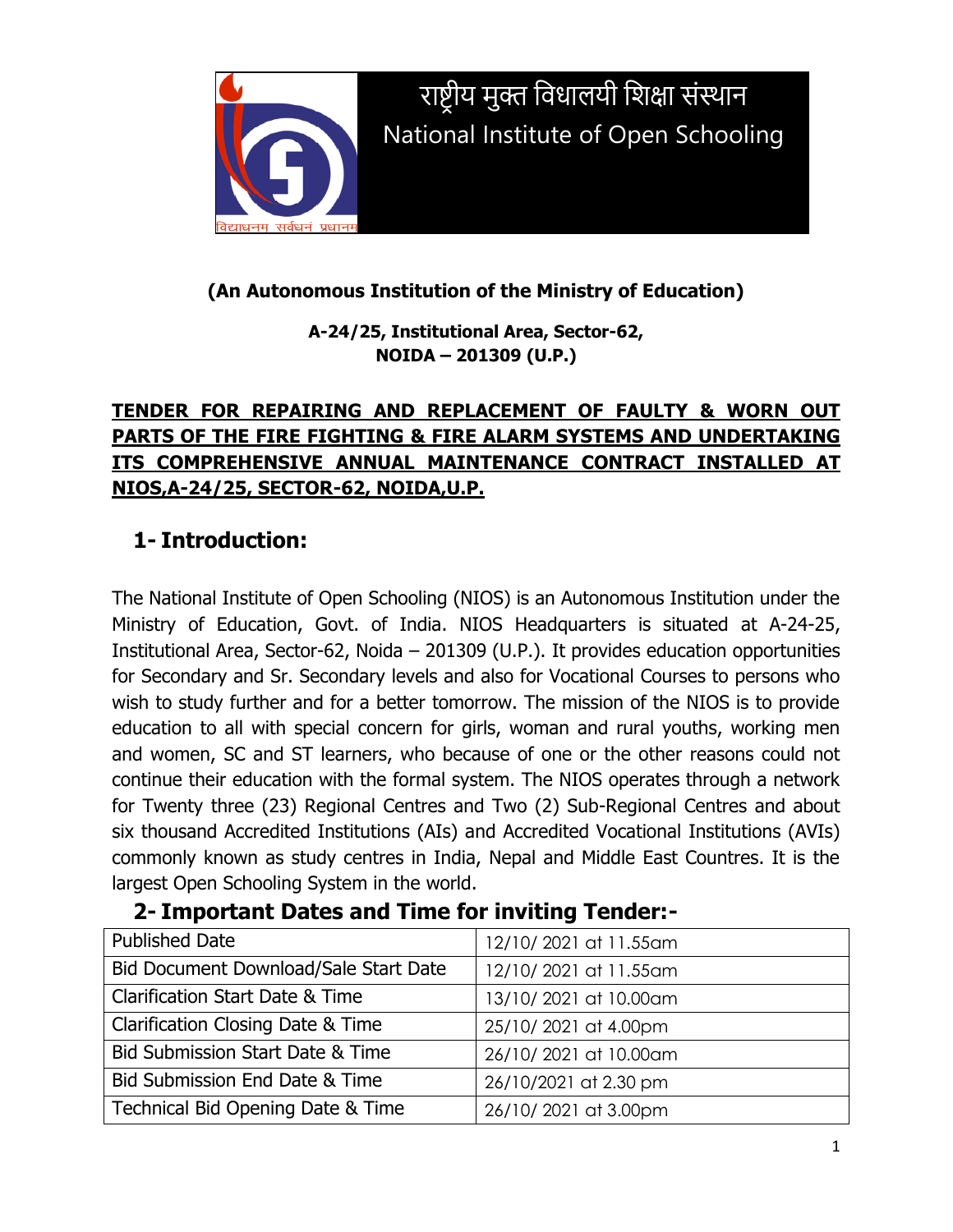

राष्ट्रीय मुक्त विधालयी विक्षा संस्थान National Institute of Open Schooling

## **(An Autonomous Institution of the Ministry of Education)**

**A-24/25, Institutional Area, Sector-62, NOIDA – 201309 (U.P.)**

## **TENDER FOR REPAIRING AND REPLACEMENT OF FAULTY & WORN OUT PARTS OF THE FIRE FIGHTING & FIRE ALARM SYSTEMS AND UNDERTAKING ITS COMPREHENSIVE ANNUAL MAINTENANCE CONTRACT INSTALLED AT NIOS,A-24/25, SECTOR-62, NOIDA,U.P.**

## **1- Introduction:**

The National Institute of Open Schooling (NIOS) is an Autonomous Institution under the Ministry of Education, Govt. of India. NIOS Headquarters is situated at A-24-25, Institutional Area, Sector-62, Noida – 201309 (U.P.). It provides education opportunities for Secondary and Sr. Secondary levels and also for Vocational Courses to persons who wish to study further and for a better tomorrow. The mission of the NIOS is to provide education to all with special concern for girls, woman and rural youths, working men and women, SC and ST learners, who because of one or the other reasons could not continue their education with the formal system. The NIOS operates through a network for Twenty three (23) Regional Centres and Two (2) Sub-Regional Centres and about six thousand Accredited Institutions (AIs) and Accredited Vocational Institutions (AVIs) commonly known as study centres in India, Nepal and Middle East Countres. It is the largest Open Schooling System in the world.

| <u>2 Important Dates and Third for Inviting Tenach</u> |                       |
|--------------------------------------------------------|-----------------------|
| <b>Published Date</b>                                  | 12/10/2021 at 11.55am |
| Bid Document Download/Sale Start Date                  | 12/10/2021 at 11.55am |
| <b>Clarification Start Date &amp; Time</b>             | 13/10/2021 at 10.00am |
| <b>Clarification Closing Date &amp; Time</b>           | 25/10/2021 at 4.00pm  |
| Bid Submission Start Date & Time                       | 26/10/2021 at 10.00am |
| Bid Submission End Date & Time                         | 26/10/2021 at 2.30 pm |
| Technical Bid Opening Date & Time                      | 26/10/2021 at 3.00pm  |

## **2- Important Dates and Time for inviting Tender:-**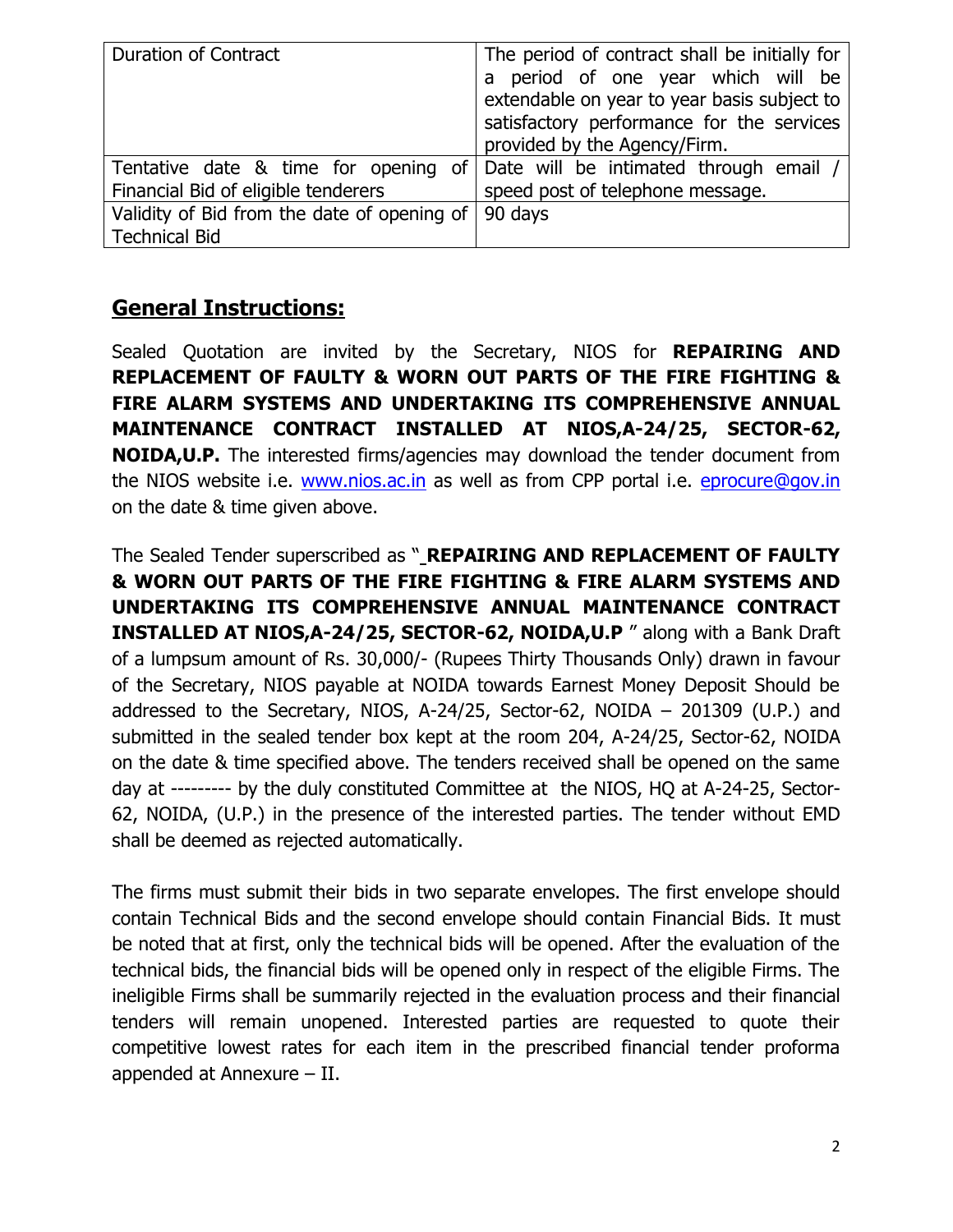| <b>Duration of Contract</b>                 | The period of contract shall be initially for                               |  |  |
|---------------------------------------------|-----------------------------------------------------------------------------|--|--|
|                                             |                                                                             |  |  |
|                                             | a period of one year which will be                                          |  |  |
|                                             | extendable on year to year basis subject to                                 |  |  |
|                                             | satisfactory performance for the services                                   |  |  |
|                                             | provided by the Agency/Firm.                                                |  |  |
|                                             | Tentative date & time for opening of Date will be intimated through email / |  |  |
| Financial Bid of eligible tenderers         | speed post of telephone message.                                            |  |  |
| Validity of Bid from the date of opening of | 90 days                                                                     |  |  |
| <b>Technical Bid</b>                        |                                                                             |  |  |

## **General Instructions:**

Sealed Quotation are invited by the Secretary, NIOS for **REPAIRING AND REPLACEMENT OF FAULTY & WORN OUT PARTS OF THE FIRE FIGHTING & FIRE ALARM SYSTEMS AND UNDERTAKING ITS COMPREHENSIVE ANNUAL MAINTENANCE CONTRACT INSTALLED AT NIOS,A-24/25, SECTOR-62, NOIDA,U.P.** The interested firms/agencies may download the tender document from the NIOS website i.e. [www.nios.ac.in](http://www.nios.ac.in/) as well as from CPP portal i.e. [eprocure@gov.in](mailto:eprocure@gov.in) on the date & time given above.

The Sealed Tender superscribed as " **REPAIRING AND REPLACEMENT OF FAULTY & WORN OUT PARTS OF THE FIRE FIGHTING & FIRE ALARM SYSTEMS AND UNDERTAKING ITS COMPREHENSIVE ANNUAL MAINTENANCE CONTRACT INSTALLED AT NIOS,A-24/25, SECTOR-62, NOIDA,U.P** " along with a Bank Draft of a lumpsum amount of Rs. 30,000/- (Rupees Thirty Thousands Only) drawn in favour of the Secretary, NIOS payable at NOIDA towards Earnest Money Deposit Should be addressed to the Secretary, NIOS, A-24/25, Sector-62, NOIDA – 201309 (U.P.) and submitted in the sealed tender box kept at the room 204, A-24/25, Sector-62, NOIDA on the date & time specified above. The tenders received shall be opened on the same day at --------- by the duly constituted Committee at the NIOS, HQ at A-24-25, Sector-62, NOIDA, (U.P.) in the presence of the interested parties. The tender without EMD shall be deemed as rejected automatically.

The firms must submit their bids in two separate envelopes. The first envelope should contain Technical Bids and the second envelope should contain Financial Bids. It must be noted that at first, only the technical bids will be opened. After the evaluation of the technical bids, the financial bids will be opened only in respect of the eligible Firms. The ineligible Firms shall be summarily rejected in the evaluation process and their financial tenders will remain unopened. Interested parties are requested to quote their competitive lowest rates for each item in the prescribed financial tender proforma appended at Annexure – II.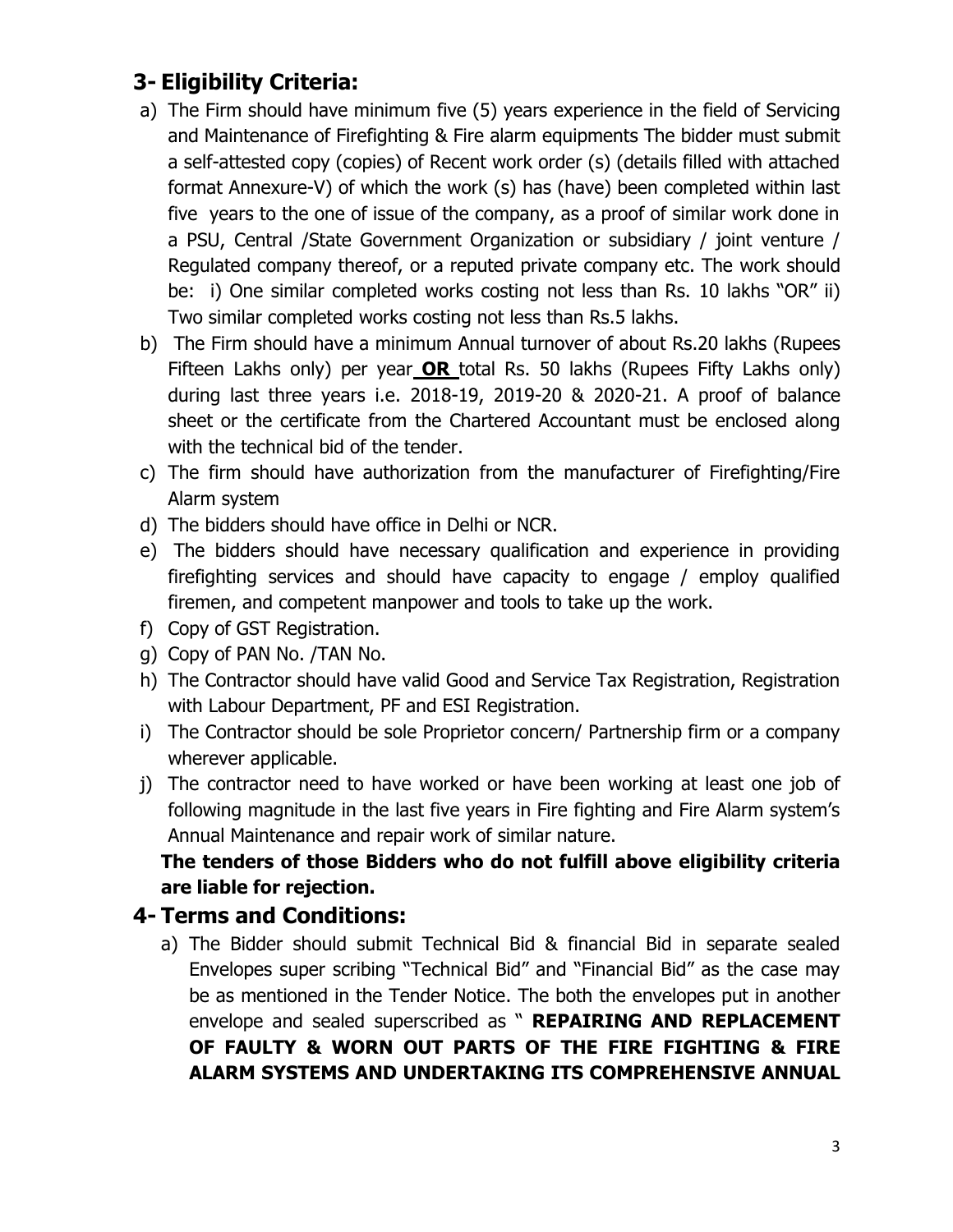## **3- Eligibility Criteria:**

- a) The Firm should have minimum five (5) years experience in the field of Servicing and Maintenance of Firefighting & Fire alarm equipments The bidder must submit a self-attested copy (copies) of Recent work order (s) (details filled with attached format Annexure-V) of which the work (s) has (have) been completed within last five years to the one of issue of the company, as a proof of similar work done in a PSU, Central /State Government Organization or subsidiary / joint venture / Regulated company thereof, or a reputed private company etc. The work should be: i) One similar completed works costing not less than Rs. 10 lakhs "OR" ii) Two similar completed works costing not less than Rs.5 lakhs.
- b) The Firm should have a minimum Annual turnover of about Rs.20 lakhs (Rupees Fifteen Lakhs only) per year **OR** total Rs. 50 lakhs (Rupees Fifty Lakhs only) during last three years i.e. 2018-19, 2019-20 & 2020-21. A proof of balance sheet or the certificate from the Chartered Accountant must be enclosed along with the technical bid of the tender.
- c) The firm should have authorization from the manufacturer of Firefighting/Fire Alarm system
- d) The bidders should have office in Delhi or NCR.
- e) The bidders should have necessary qualification and experience in providing firefighting services and should have capacity to engage / employ qualified firemen, and competent manpower and tools to take up the work.
- f) Copy of GST Registration.
- g) Copy of PAN No. /TAN No.
- h) The Contractor should have valid Good and Service Tax Registration, Registration with Labour Department, PF and ESI Registration.
- i) The Contractor should be sole Proprietor concern/ Partnership firm or a company wherever applicable.
- j) The contractor need to have worked or have been working at least one job of following magnitude in the last five years in Fire fighting and Fire Alarm system's Annual Maintenance and repair work of similar nature.

#### **The tenders of those Bidders who do not fulfill above eligibility criteria are liable for rejection.**

## **4- Terms and Conditions:**

a) The Bidder should submit Technical Bid & financial Bid in separate sealed Envelopes super scribing "Technical Bid" and "Financial Bid" as the case may be as mentioned in the Tender Notice. The both the envelopes put in another envelope and sealed superscribed as " **REPAIRING AND REPLACEMENT OF FAULTY & WORN OUT PARTS OF THE FIRE FIGHTING & FIRE ALARM SYSTEMS AND UNDERTAKING ITS COMPREHENSIVE ANNUAL**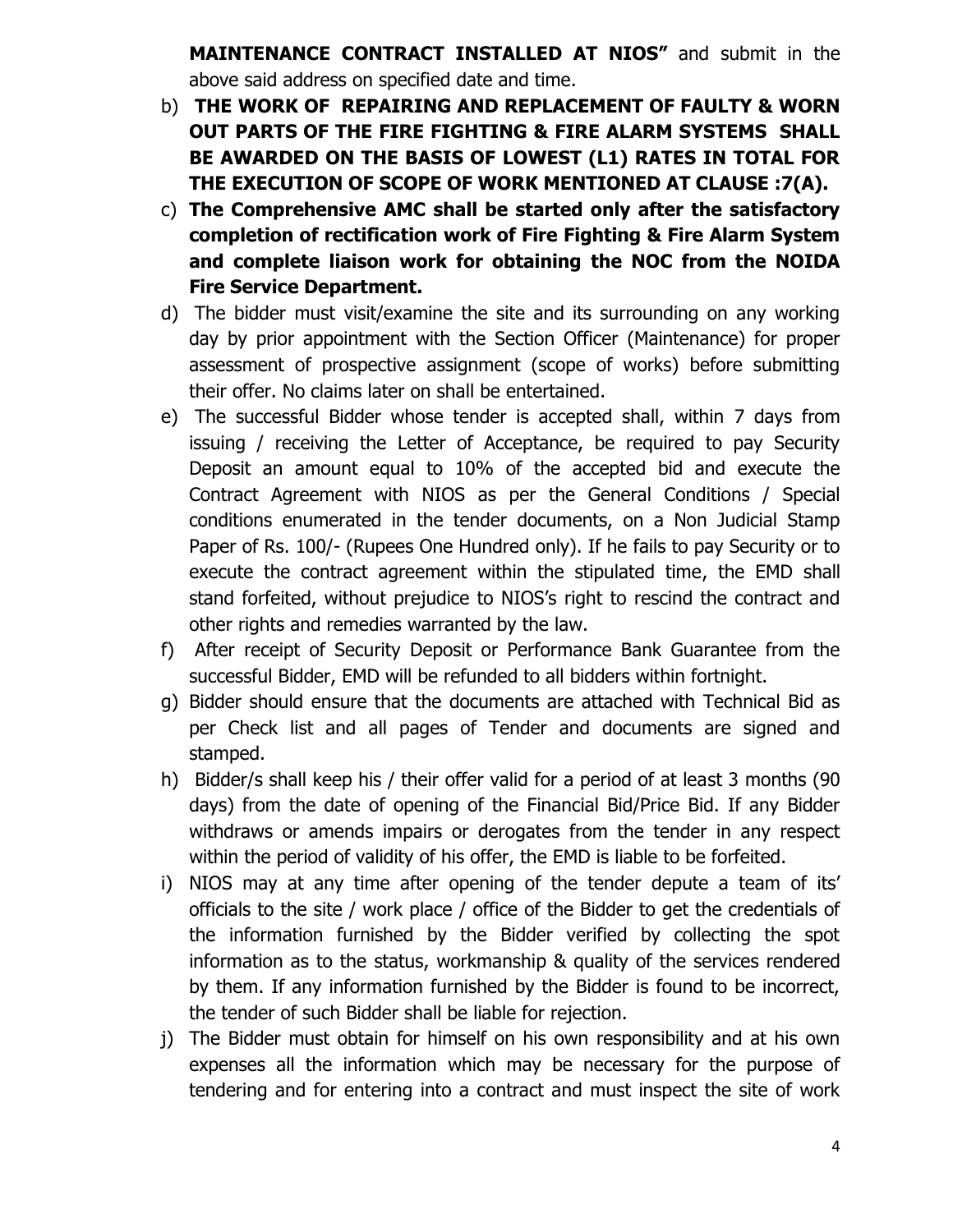**MAINTENANCE CONTRACT INSTALLED AT NIOS"** and submit in the above said address on specified date and time.

- b) **THE WORK OF REPAIRING AND REPLACEMENT OF FAULTY & WORN OUT PARTS OF THE FIRE FIGHTING & FIRE ALARM SYSTEMS SHALL BE AWARDED ON THE BASIS OF LOWEST (L1) RATES IN TOTAL FOR THE EXECUTION OF SCOPE OF WORK MENTIONED AT CLAUSE :7(A).**
- c) **The Comprehensive AMC shall be started only after the satisfactory completion of rectification work of Fire Fighting & Fire Alarm System and complete liaison work for obtaining the NOC from the NOIDA Fire Service Department.**
- d) The bidder must visit/examine the site and its surrounding on any working day by prior appointment with the Section Officer (Maintenance) for proper assessment of prospective assignment (scope of works) before submitting their offer. No claims later on shall be entertained.
- e) The successful Bidder whose tender is accepted shall, within 7 days from issuing / receiving the Letter of Acceptance, be required to pay Security Deposit an amount equal to 10% of the accepted bid and execute the Contract Agreement with NIOS as per the General Conditions / Special conditions enumerated in the tender documents, on a Non Judicial Stamp Paper of Rs. 100/- (Rupees One Hundred only). If he fails to pay Security or to execute the contract agreement within the stipulated time, the EMD shall stand forfeited, without prejudice to NIOS's right to rescind the contract and other rights and remedies warranted by the law.
- f) After receipt of Security Deposit or Performance Bank Guarantee from the successful Bidder, EMD will be refunded to all bidders within fortnight.
- g) Bidder should ensure that the documents are attached with Technical Bid as per Check list and all pages of Tender and documents are signed and stamped.
- h) Bidder/s shall keep his / their offer valid for a period of at least 3 months (90 days) from the date of opening of the Financial Bid/Price Bid. If any Bidder withdraws or amends impairs or derogates from the tender in any respect within the period of validity of his offer, the EMD is liable to be forfeited.
- i) NIOS may at any time after opening of the tender depute a team of its' officials to the site / work place / office of the Bidder to get the credentials of the information furnished by the Bidder verified by collecting the spot information as to the status, workmanship & quality of the services rendered by them. If any information furnished by the Bidder is found to be incorrect, the tender of such Bidder shall be liable for rejection.
- j) The Bidder must obtain for himself on his own responsibility and at his own expenses all the information which may be necessary for the purpose of tendering and for entering into a contract and must inspect the site of work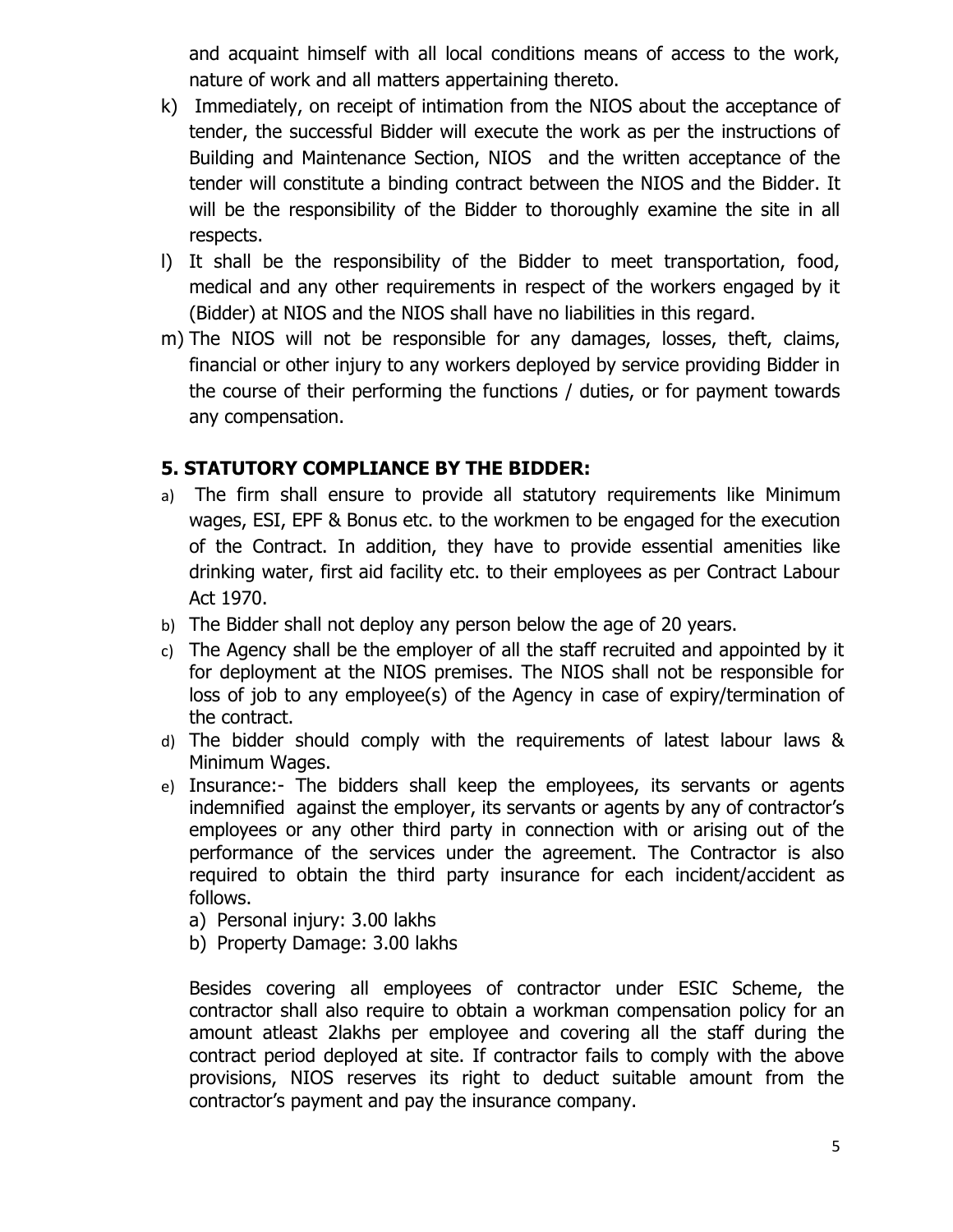and acquaint himself with all local conditions means of access to the work, nature of work and all matters appertaining thereto.

- k) Immediately, on receipt of intimation from the NIOS about the acceptance of tender, the successful Bidder will execute the work as per the instructions of Building and Maintenance Section, NIOS and the written acceptance of the tender will constitute a binding contract between the NIOS and the Bidder. It will be the responsibility of the Bidder to thoroughly examine the site in all respects.
- l) It shall be the responsibility of the Bidder to meet transportation, food, medical and any other requirements in respect of the workers engaged by it (Bidder) at NIOS and the NIOS shall have no liabilities in this regard.
- m) The NIOS will not be responsible for any damages, losses, theft, claims, financial or other injury to any workers deployed by service providing Bidder in the course of their performing the functions / duties, or for payment towards any compensation.

#### **5. STATUTORY COMPLIANCE BY THE BIDDER:**

- a) The firm shall ensure to provide all statutory requirements like Minimum wages, ESI, EPF & Bonus etc. to the workmen to be engaged for the execution of the Contract. In addition, they have to provide essential amenities like drinking water, first aid facility etc. to their employees as per Contract Labour Act 1970.
- b) The Bidder shall not deploy any person below the age of 20 years.
- c) The Agency shall be the employer of all the staff recruited and appointed by it for deployment at the NIOS premises. The NIOS shall not be responsible for loss of job to any employee(s) of the Agency in case of expiry/termination of the contract.
- d) The bidder should comply with the requirements of latest labour laws & Minimum Wages.
- e) Insurance:- The bidders shall keep the employees, its servants or agents indemnified against the employer, its servants or agents by any of contractor's employees or any other third party in connection with or arising out of the performance of the services under the agreement. The Contractor is also required to obtain the third party insurance for each incident/accident as follows.
	- a) Personal injury: 3.00 lakhs
	- b) Property Damage: 3.00 lakhs

Besides covering all employees of contractor under ESIC Scheme, the contractor shall also require to obtain a workman compensation policy for an amount atleast 2lakhs per employee and covering all the staff during the contract period deployed at site. If contractor fails to comply with the above provisions, NIOS reserves its right to deduct suitable amount from the contractor's payment and pay the insurance company.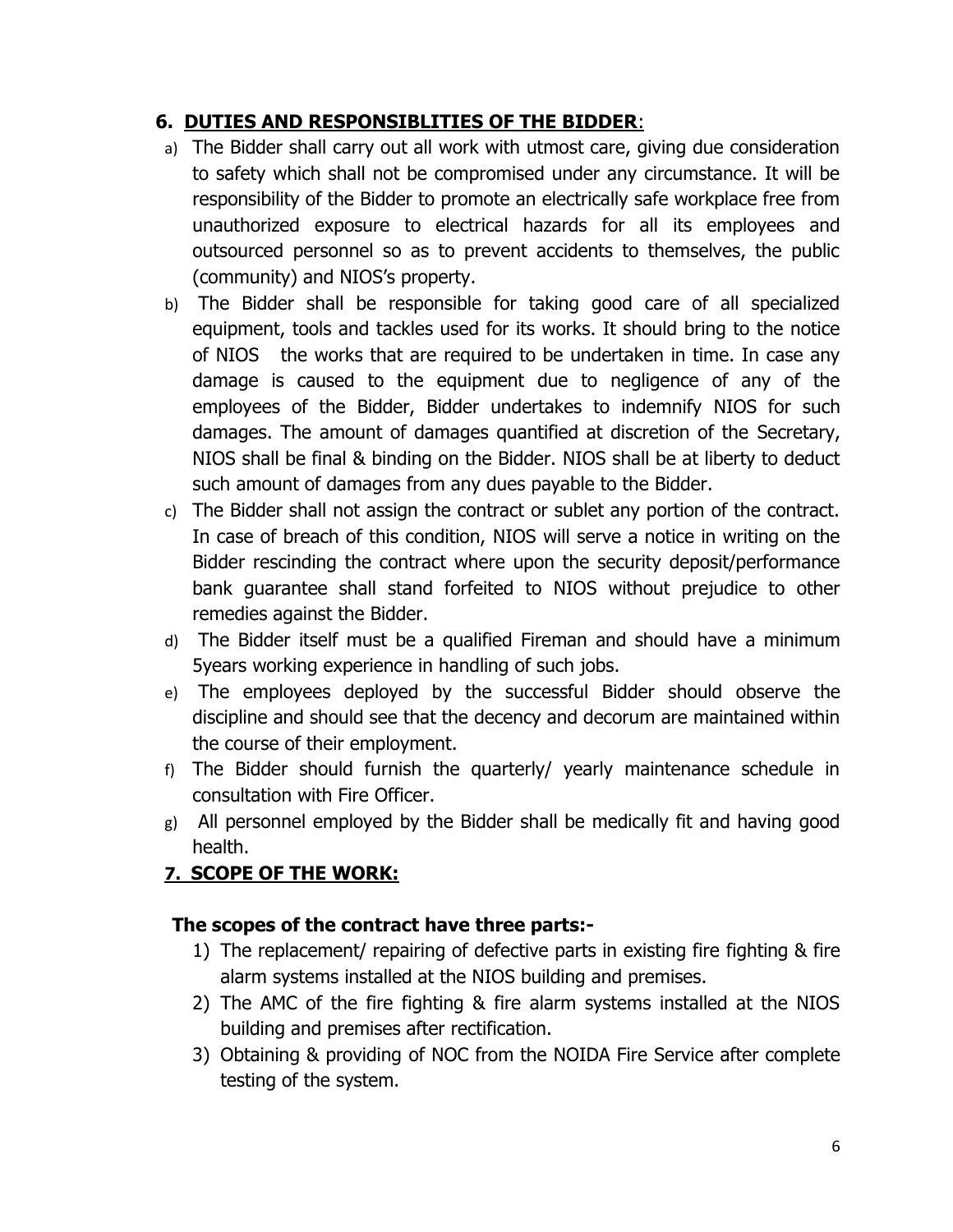## **6. DUTIES AND RESPONSIBLITIES OF THE BIDDER**:

- a) The Bidder shall carry out all work with utmost care, giving due consideration to safety which shall not be compromised under any circumstance. It will be responsibility of the Bidder to promote an electrically safe workplace free from unauthorized exposure to electrical hazards for all its employees and outsourced personnel so as to prevent accidents to themselves, the public (community) and NIOS's property.
- b) The Bidder shall be responsible for taking good care of all specialized equipment, tools and tackles used for its works. It should bring to the notice of NIOS the works that are required to be undertaken in time. In case any damage is caused to the equipment due to negligence of any of the employees of the Bidder, Bidder undertakes to indemnify NIOS for such damages. The amount of damages quantified at discretion of the Secretary, NIOS shall be final & binding on the Bidder. NIOS shall be at liberty to deduct such amount of damages from any dues payable to the Bidder.
- c) The Bidder shall not assign the contract or sublet any portion of the contract. In case of breach of this condition, NIOS will serve a notice in writing on the Bidder rescinding the contract where upon the security deposit/performance bank guarantee shall stand forfeited to NIOS without prejudice to other remedies against the Bidder.
- d) The Bidder itself must be a qualified Fireman and should have a minimum 5years working experience in handling of such jobs.
- e) The employees deployed by the successful Bidder should observe the discipline and should see that the decency and decorum are maintained within the course of their employment.
- f) The Bidder should furnish the quarterly/ yearly maintenance schedule in consultation with Fire Officer.
- g) All personnel employed by the Bidder shall be medically fit and having good health.

#### **7. SCOPE OF THE WORK:**

#### **The scopes of the contract have three parts:-**

- 1) The replacement/ repairing of defective parts in existing fire fighting & fire alarm systems installed at the NIOS building and premises.
- 2) The AMC of the fire fighting & fire alarm systems installed at the NIOS building and premises after rectification.
- 3) Obtaining & providing of NOC from the NOIDA Fire Service after complete testing of the system.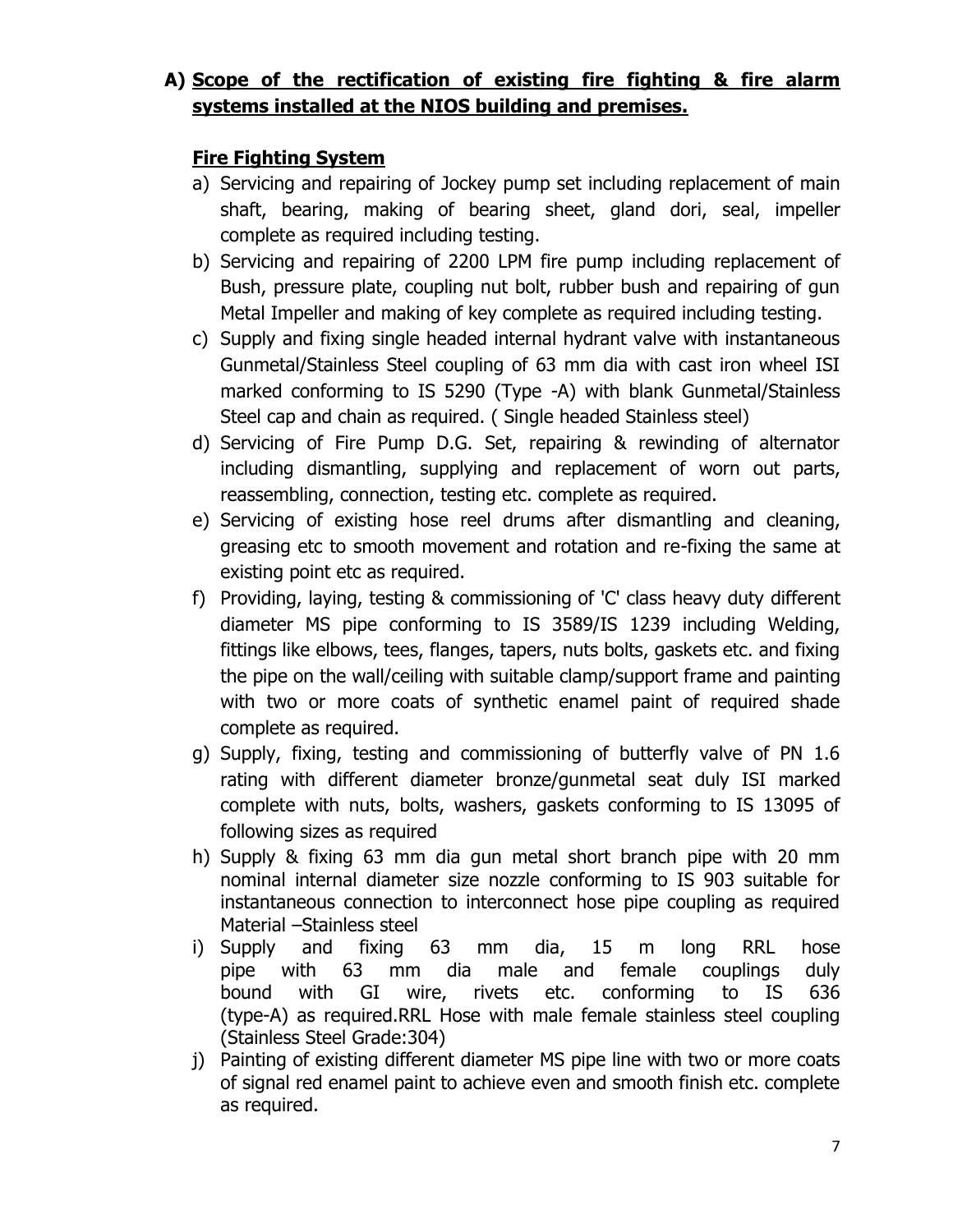## **A) Scope of the rectification of existing fire fighting & fire alarm systems installed at the NIOS building and premises.**

### **Fire Fighting System**

- a) Servicing and repairing of Jockey pump set including replacement of main shaft, bearing, making of bearing sheet, gland dori, seal, impeller complete as required including testing.
- b) Servicing and repairing of 2200 LPM fire pump including replacement of Bush, pressure plate, coupling nut bolt, rubber bush and repairing of gun Metal Impeller and making of key complete as required including testing.
- c) Supply and fixing single headed internal hydrant valve with instantaneous Gunmetal/Stainless Steel coupling of 63 mm dia with cast iron wheel ISI marked conforming to IS 5290 (Type -A) with blank Gunmetal/Stainless Steel cap and chain as required. ( Single headed Stainless steel)
- d) Servicing of Fire Pump D.G. Set, repairing & rewinding of alternator including dismantling, supplying and replacement of worn out parts, reassembling, connection, testing etc. complete as required.
- e) Servicing of existing hose reel drums after dismantling and cleaning, greasing etc to smooth movement and rotation and re-fixing the same at existing point etc as required.
- f) Providing, laying, testing & commissioning of 'C' class heavy duty different diameter MS pipe conforming to IS 3589/IS 1239 including Welding, fittings like elbows, tees, flanges, tapers, nuts bolts, gaskets etc. and fixing the pipe on the wall/ceiling with suitable clamp/support frame and painting with two or more coats of synthetic enamel paint of required shade complete as required.
- g) Supply, fixing, testing and commissioning of butterfly valve of PN 1.6 rating with different diameter bronze/gunmetal seat duly ISI marked complete with nuts, bolts, washers, gaskets conforming to IS 13095 of following sizes as required
- h) Supply & fixing 63 mm dia gun metal short branch pipe with 20 mm nominal internal diameter size nozzle conforming to IS 903 suitable for instantaneous connection to interconnect hose pipe coupling as required Material –Stainless steel
- i) Supply and fixing 63 mm dia, 15 m long RRL hose pipe with 63 mm dia male and female couplings duly bound with GI wire, rivets etc. conforming to IS 636 (type-A) as required.RRL Hose with male female stainless steel coupling (Stainless Steel Grade:304)
- j) Painting of existing different diameter MS pipe line with two or more coats of signal red enamel paint to achieve even and smooth finish etc. complete as required.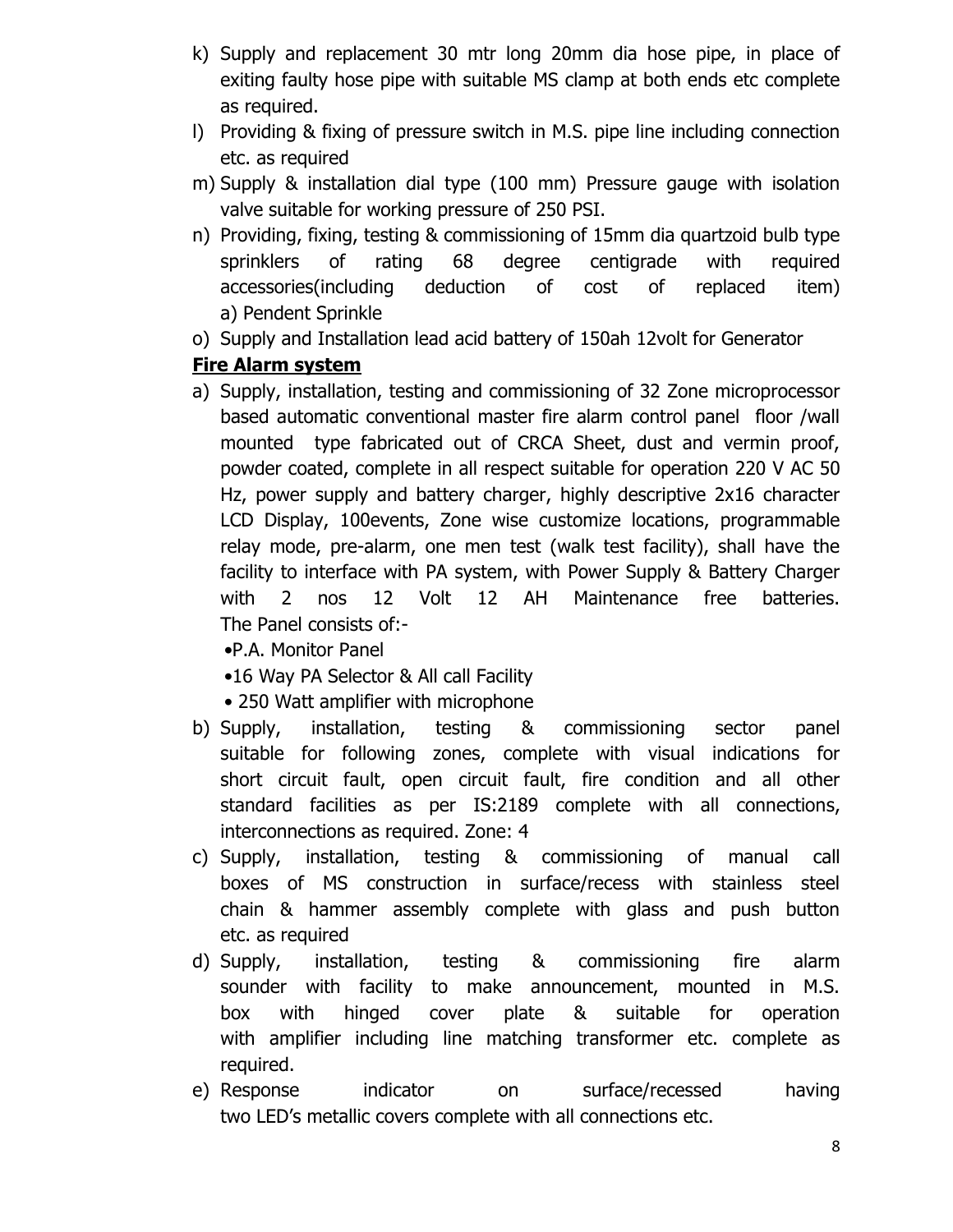- k) Supply and replacement 30 mtr long 20mm dia hose pipe, in place of exiting faulty hose pipe with suitable MS clamp at both ends etc complete as required.
- l) Providing & fixing of pressure switch in M.S. pipe line including connection etc. as required
- m) Supply & installation dial type (100 mm) Pressure gauge with isolation valve suitable for working pressure of 250 PSI.
- n) Providing, fixing, testing & commissioning of 15mm dia quartzoid bulb type sprinklers of rating 68 degree centigrade with required accessories(including deduction of cost of replaced item) a) Pendent Sprinkle
- o) Supply and Installation lead acid battery of 150ah 12volt for Generator

#### **Fire Alarm system**

a) Supply, installation, testing and commissioning of 32 Zone microprocessor based automatic conventional master fire alarm control panel floor /wall mounted type fabricated out of CRCA Sheet, dust and vermin proof, powder coated, complete in all respect suitable for operation 220 V AC 50 Hz, power supply and battery charger, highly descriptive 2x16 character LCD Display, 100events, Zone wise customize locations, programmable relay mode, pre-alarm, one men test (walk test facility), shall have the facility to interface with PA system, with Power Supply & Battery Charger with 2 nos 12 Volt 12 AH Maintenance free batteries. The Panel consists of:-

•P.A. Monitor Panel

- •16 Way PA Selector & All call Facility
- 250 Watt amplifier with microphone
- b) Supply, installation, testing & commissioning sector panel suitable for following zones, complete with visual indications for short circuit fault, open circuit fault, fire condition and all other standard facilities as per IS:2189 complete with all connections, interconnections as required. Zone: 4
- c) Supply, installation, testing & commissioning of manual call boxes of MS construction in surface/recess with stainless steel chain & hammer assembly complete with glass and push button etc. as required
- d) Supply, installation, testing & commissioning fire alarm sounder with facility to make announcement, mounted in M.S. box with hinged cover plate & suitable for operation with amplifier including line matching transformer etc. complete as required.
- e) Response indicator on surface/recessed having two LED's metallic covers complete with all connections etc.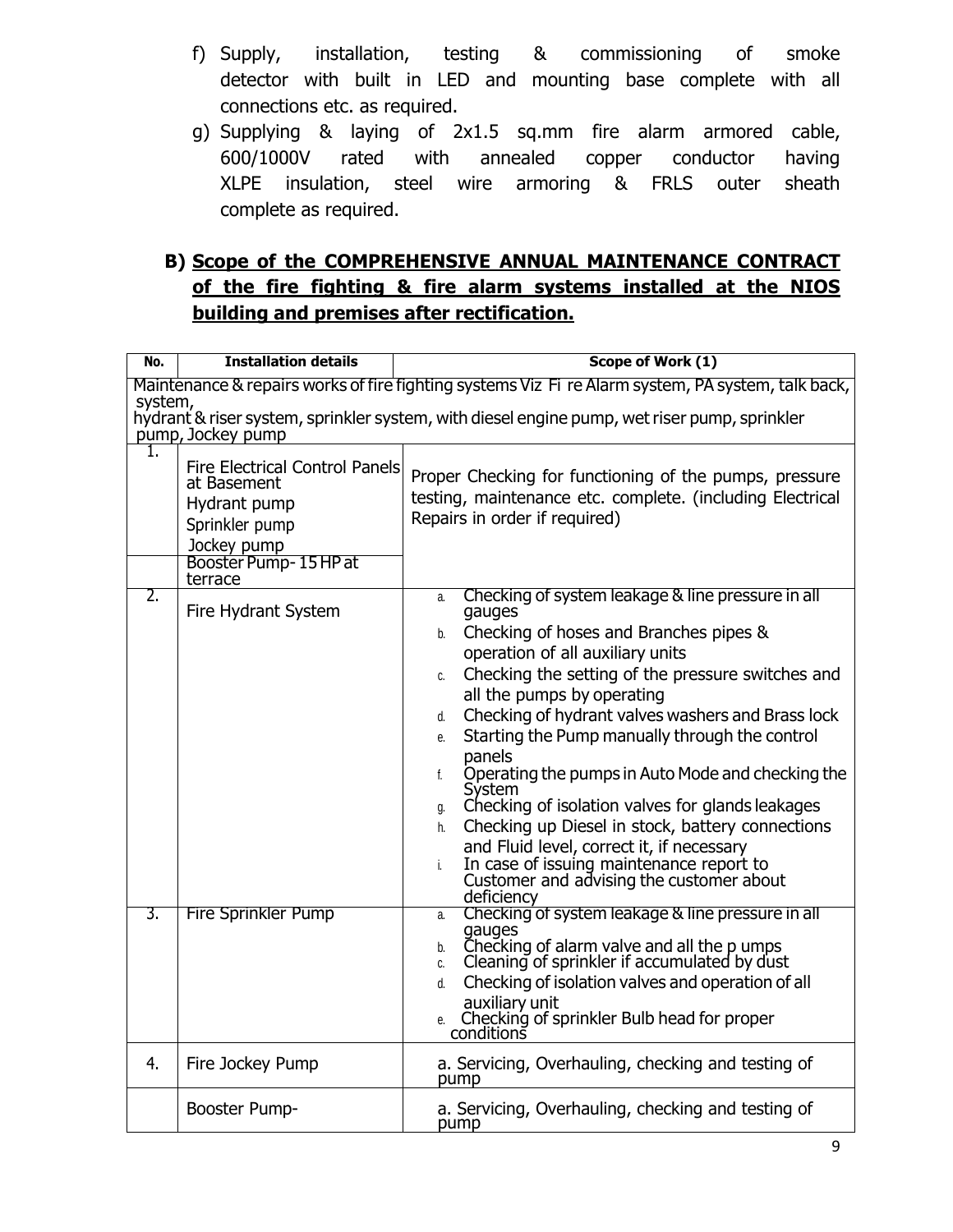- f) Supply, installation, testing & commissioning of smoke detector with built in LED and mounting base complete with all connections etc. as required.
- g) Supplying & laying of 2x1.5 sq.mm fire alarm armored cable, 600/1000V rated with annealed copper conductor having XLPE insulation, steel wire armoring & FRLS outer sheath complete as required.

## **B) Scope of the COMPREHENSIVE ANNUAL MAINTENANCE CONTRACT of the fire fighting & fire alarm systems installed at the NIOS building and premises after rectification.**

| No. | <b>Installation details</b>                                                                                                   | Scope of Work (1)                                                                                                                                                                                                                                                                                                                                                                                                                                                                                                                                                                                                                                                                                                             |  |  |
|-----|-------------------------------------------------------------------------------------------------------------------------------|-------------------------------------------------------------------------------------------------------------------------------------------------------------------------------------------------------------------------------------------------------------------------------------------------------------------------------------------------------------------------------------------------------------------------------------------------------------------------------------------------------------------------------------------------------------------------------------------------------------------------------------------------------------------------------------------------------------------------------|--|--|
|     | Maintenance & repairs works of fire fighting systems Viz Fi re Alarm system, PA system, talk back,<br>system,                 |                                                                                                                                                                                                                                                                                                                                                                                                                                                                                                                                                                                                                                                                                                                               |  |  |
| 1.  | pump, Jockey pump                                                                                                             | hydrant & riser system, sprinkler system, with diesel engine pump, wet riser pump, sprinkler                                                                                                                                                                                                                                                                                                                                                                                                                                                                                                                                                                                                                                  |  |  |
|     | <b>Fire Electrical Control Panels</b><br>at Basement<br>Hydrant pump<br>Sprinkler pump<br>Jockey pump<br>Booster Pump-15HP at | Proper Checking for functioning of the pumps, pressure<br>testing, maintenance etc. complete. (including Electrical<br>Repairs in order if required)                                                                                                                                                                                                                                                                                                                                                                                                                                                                                                                                                                          |  |  |
| 2.  | terrace<br>Fire Hydrant System                                                                                                | Checking of system leakage & line pressure in all<br>a.<br>gauges<br>Checking of hoses and Branches pipes &<br>b.<br>operation of all auxiliary units<br>Checking the setting of the pressure switches and<br>C.<br>all the pumps by operating<br>Checking of hydrant valves washers and Brass lock<br>d.<br>Starting the Pump manually through the control<br>e.<br>panels<br>Operating the pumps in Auto Mode and checking the<br>f.<br>System<br>Checking of isolation valves for glands leakages<br>g.<br>Checking up Diesel in stock, battery connections<br>h.<br>and Fluid level, correct it, if necessary<br>In case of issuing maintenance report to<br>i.<br>Customer and advising the customer about<br>deficiency |  |  |
| 3.  | <b>Fire Sprinkler Pump</b>                                                                                                    | Checking of system leakage & line pressure in all<br>a.<br>gauges<br>Checking of alarm valve and all the p umps<br>b.<br>Cleaning of sprinkler if accumulated by dust<br>C.<br>Checking of isolation valves and operation of all<br>d.<br>auxiliary unit<br>Checking of sprinkler Bulb head for proper<br>conditions<br>e.                                                                                                                                                                                                                                                                                                                                                                                                    |  |  |
| 4.  | Fire Jockey Pump                                                                                                              | a. Servicing, Overhauling, checking and testing of<br>pump                                                                                                                                                                                                                                                                                                                                                                                                                                                                                                                                                                                                                                                                    |  |  |
|     | Booster Pump-                                                                                                                 | a. Servicing, Overhauling, checking and testing of<br>pump                                                                                                                                                                                                                                                                                                                                                                                                                                                                                                                                                                                                                                                                    |  |  |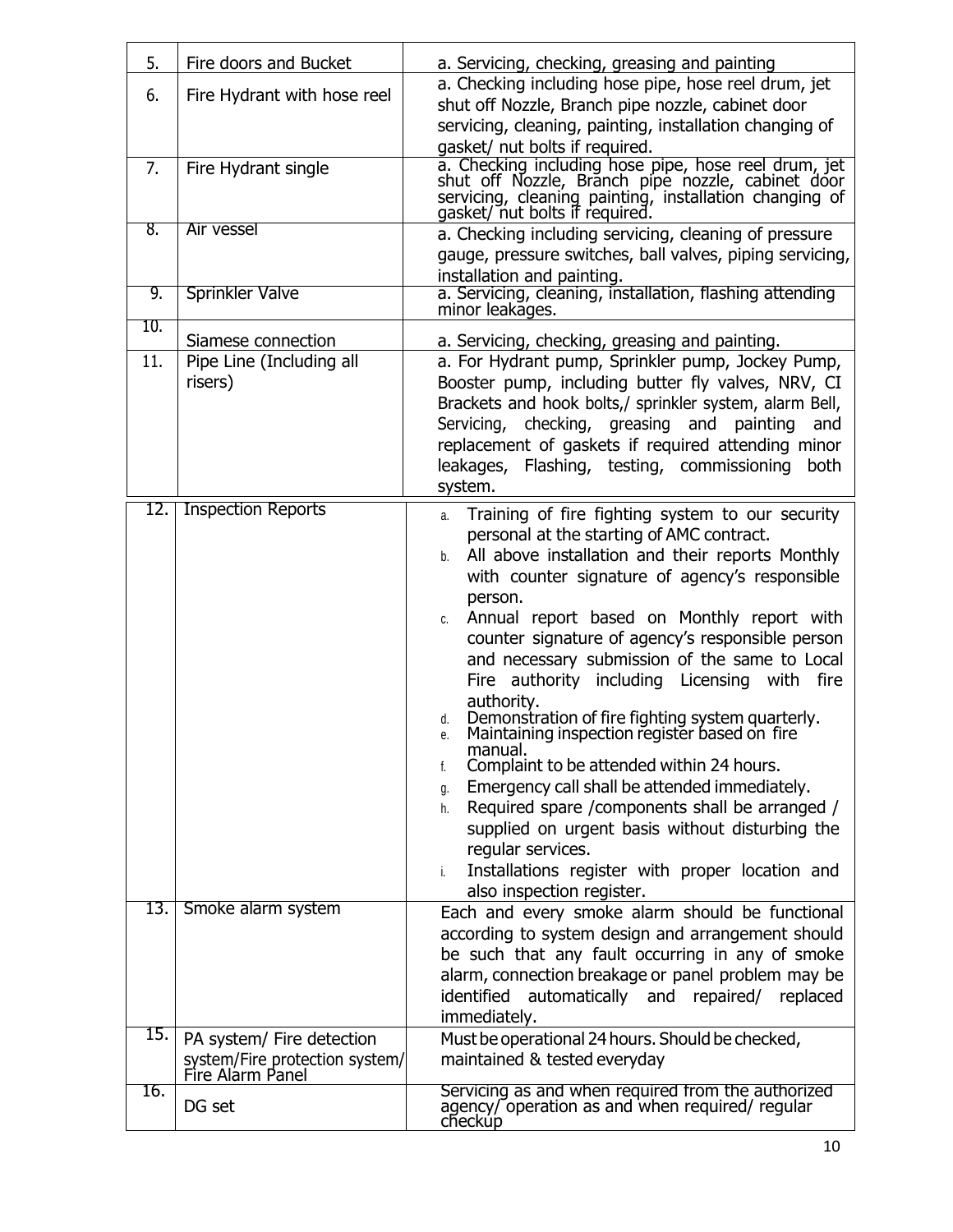| 5.  | Fire doors and Bucket                              | a. Servicing, checking, greasing and painting                                                                                                                                                         |
|-----|----------------------------------------------------|-------------------------------------------------------------------------------------------------------------------------------------------------------------------------------------------------------|
| 6.  | Fire Hydrant with hose reel                        | a. Checking including hose pipe, hose reel drum, jet<br>shut off Nozzle, Branch pipe nozzle, cabinet door                                                                                             |
|     |                                                    | servicing, cleaning, painting, installation changing of                                                                                                                                               |
|     |                                                    | gasket/ nut bolts if required.                                                                                                                                                                        |
| 7.  | Fire Hydrant single                                | a. Checking including hose pipe, hose reel drum, jet<br>shut off Nozzle, Branch pipe nozzle, cabinet door<br>servicing, cleaning painting, installation changing of<br>gasket/ nut bolts if required. |
| 8.  | Air vessel                                         | a. Checking including servicing, cleaning of pressure                                                                                                                                                 |
|     |                                                    | gauge, pressure switches, ball valves, piping servicing,<br>installation and painting.                                                                                                                |
| 9.  | <b>Sprinkler Valve</b>                             | a. Servicing, cleaning, installation, flashing attending<br>minor leakages.                                                                                                                           |
| 10. | Siamese connection                                 | a. Servicing, checking, greasing and painting.                                                                                                                                                        |
| 11. | Pipe Line (Including all                           | a. For Hydrant pump, Sprinkler pump, Jockey Pump,                                                                                                                                                     |
|     | risers)                                            | Booster pump, including butter fly valves, NRV, CI                                                                                                                                                    |
|     |                                                    | Brackets and hook bolts,/ sprinkler system, alarm Bell,<br>Servicing, checking, greasing and painting<br>and                                                                                          |
|     |                                                    | replacement of gaskets if required attending minor                                                                                                                                                    |
|     |                                                    | leakages, Flashing, testing, commissioning<br>both                                                                                                                                                    |
| 12. | <b>Inspection Reports</b>                          | system.                                                                                                                                                                                               |
|     |                                                    | Training of fire fighting system to our security<br>a.<br>personal at the starting of AMC contract.                                                                                                   |
|     |                                                    | All above installation and their reports Monthly<br>b.                                                                                                                                                |
|     |                                                    | with counter signature of agency's responsible                                                                                                                                                        |
|     |                                                    | person.<br>Annual report based on Monthly report with<br>C.                                                                                                                                           |
|     |                                                    | counter signature of agency's responsible person                                                                                                                                                      |
|     |                                                    | and necessary submission of the same to Local                                                                                                                                                         |
|     |                                                    | Fire authority including Licensing with fire<br>authority.                                                                                                                                            |
|     |                                                    | Demonstration of fire fighting system quarterly.<br>Maintaining inspection register based on fire<br>d.<br>е.                                                                                         |
|     |                                                    | manual.<br>Complaint to be attended within 24 hours.<br>f.                                                                                                                                            |
|     |                                                    | Emergency call shall be attended immediately.<br>g.                                                                                                                                                   |
|     |                                                    | Required spare / components shall be arranged /<br>h.                                                                                                                                                 |
|     |                                                    | supplied on urgent basis without disturbing the<br>regular services.                                                                                                                                  |
|     |                                                    | Installations register with proper location and<br>i.                                                                                                                                                 |
|     |                                                    | also inspection register.                                                                                                                                                                             |
| 13. | Smoke alarm system                                 | Each and every smoke alarm should be functional<br>according to system design and arrangement should                                                                                                  |
|     |                                                    | be such that any fault occurring in any of smoke                                                                                                                                                      |
|     |                                                    | alarm, connection breakage or panel problem may be                                                                                                                                                    |
|     |                                                    | identified automatically and repaired/ replaced                                                                                                                                                       |
| 15. | PA system/ Fire detection                          | immediately.<br>Must be operational 24 hours. Should be checked,                                                                                                                                      |
|     | system/Fire protection system/<br>Fire Alarm Panel | maintained & tested everyday                                                                                                                                                                          |
| 16. | DG set                                             | Servicing as and when required from the authorized<br>agency/ operation as and when required/ regular<br>checkup                                                                                      |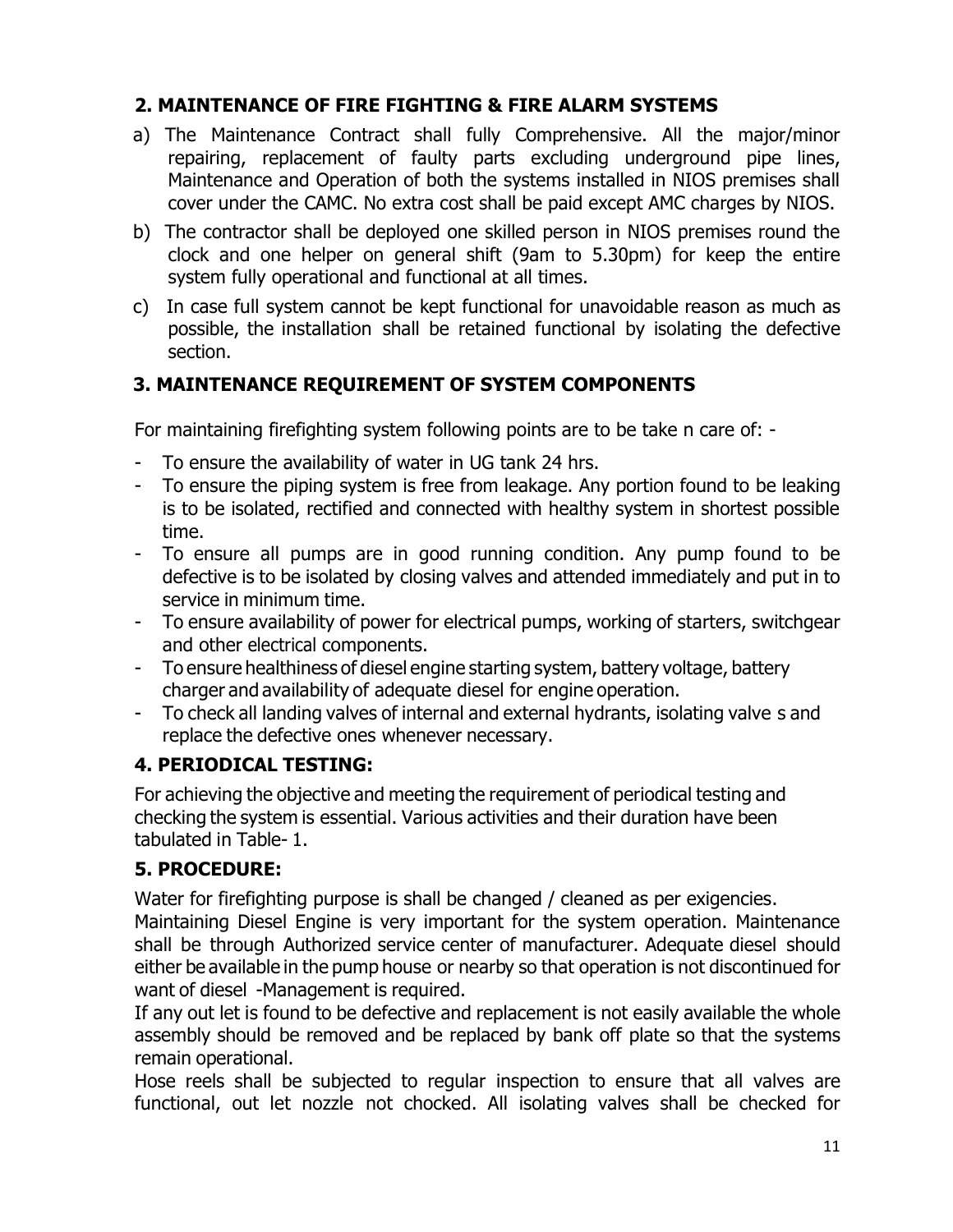## **2. MAINTENANCE OF FIRE FIGHTING & FIRE ALARM SYSTEMS**

- a) The Maintenance Contract shall fully Comprehensive. All the major/minor repairing, replacement of faulty parts excluding underground pipe lines, Maintenance and Operation of both the systems installed in NIOS premises shall cover under the CAMC. No extra cost shall be paid except AMC charges by NIOS.
- b) The contractor shall be deployed one skilled person in NIOS premises round the clock and one helper on general shift (9am to 5.30pm) for keep the entire system fully operational and functional at all times.
- c) In case full system cannot be kept functional for unavoidable reason as much as possible, the installation shall be retained functional by isolating the defective section.

#### **3. MAINTENANCE REQUIREMENT OF SYSTEM COMPONENTS**

For maintaining firefighting system following points are to be take n care of: -

- To ensure the availability of water in UG tank 24 hrs.
- To ensure the piping system is free from leakage. Any portion found to be leaking is to be isolated, rectified and connected with healthy system in shortest possible time.
- To ensure all pumps are in good running condition. Any pump found to be defective is to be isolated by closing valves and attended immediately and put in to service in minimum time.
- To ensure availability of power for electrical pumps, working of starters, switchgear and other electrical components.
- To ensure healthiness of diesel engine starting system, battery voltage, battery charger and availability of adequate diesel for engine operation.
- To check all landing valves of internal and external hydrants, isolating valve s and replace the defective ones whenever necessary.

#### **4. PERIODICAL TESTING:**

For achieving the objective and meeting the requirement of periodical testing and checking the system is essential. Various activities and their duration have been tabulated in Table- 1.

## **5. PROCEDURE:**

Water for firefighting purpose is shall be changed / cleaned as per exigencies.

Maintaining Diesel Engine is very important for the system operation. Maintenance shall be through Authorized service center of manufacturer. Adequate diesel should either be available in the pump house or nearby so that operation is not discontinued for want of diesel -Management is required.

If any out let is found to be defective and replacement is not easily available the whole assembly should be removed and be replaced by bank off plate so that the systems remain operational.

Hose reels shall be subjected to regular inspection to ensure that all valves are functional, out let nozzle not chocked. All isolating valves shall be checked for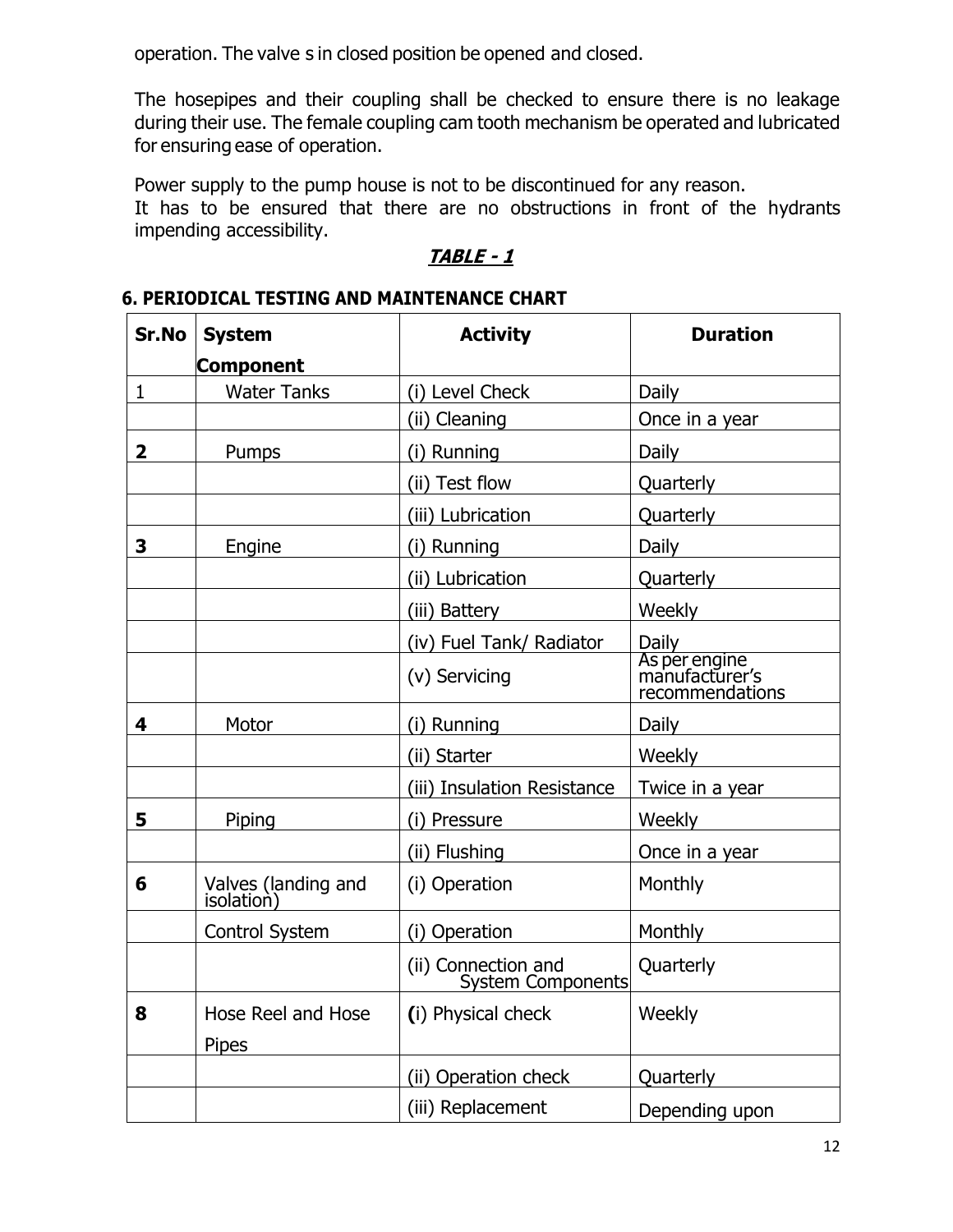operation. The valve s in closed position be opened and closed.

The hosepipes and their coupling shall be checked to ensure there is no leakage during their use. The female coupling cam tooth mechanism be operated and lubricated for ensuring ease of operation.

Power supply to the pump house is not to be discontinued for any reason.

It has to be ensured that there are no obstructions in front of the hydrants impending accessibility.

#### **TABLE - 1**

#### **6. PERIODICAL TESTING AND MAINTENANCE CHART**

| Sr.No                   | <b>System</b>                     | <b>Activity</b>                          | <b>Duration</b>                                    |  |
|-------------------------|-----------------------------------|------------------------------------------|----------------------------------------------------|--|
|                         | <b>Component</b>                  |                                          |                                                    |  |
| $\mathbf{1}$            | <b>Water Tanks</b>                | (i) Level Check                          | Daily                                              |  |
|                         |                                   | (ii) Cleaning                            | Once in a year                                     |  |
| $\overline{\mathbf{2}}$ | Pumps                             | (i) Running                              | Daily                                              |  |
|                         |                                   | (ii) Test flow                           | Quarterly                                          |  |
|                         |                                   | (iii) Lubrication                        | Quarterly                                          |  |
| 3                       | Engine                            | (i) Running                              | <b>Daily</b>                                       |  |
|                         |                                   | (ii) Lubrication                         | Quarterly                                          |  |
|                         |                                   | (iii) Battery                            | Weekly                                             |  |
|                         |                                   | (iv) Fuel Tank/ Radiator                 | Daily                                              |  |
|                         |                                   | (v) Servicing                            | As per engine<br>manufacturer's<br>recommendations |  |
| 4                       | Motor                             | (i) Running                              | Daily                                              |  |
|                         |                                   | (ii) Starter                             | Weekly                                             |  |
|                         |                                   | (iii) Insulation Resistance              | Twice in a year                                    |  |
| 5                       | Piping                            | (i) Pressure                             | Weekly                                             |  |
|                         |                                   | (ii) Flushing                            | Once in a year                                     |  |
| 6                       | Valves (landing and<br>isolation) | (i) Operation                            | Monthly                                            |  |
|                         | <b>Control System</b>             | (i) Operation                            | Monthly                                            |  |
|                         |                                   | (ii) Connection and<br>System Components | Quarterly                                          |  |
| 8                       | Hose Reel and Hose                | (i) Physical check                       | Weekly                                             |  |
|                         | Pipes                             |                                          |                                                    |  |
|                         |                                   | (ii) Operation check                     | Quarterly                                          |  |
|                         |                                   | (iii) Replacement                        | Depending upon                                     |  |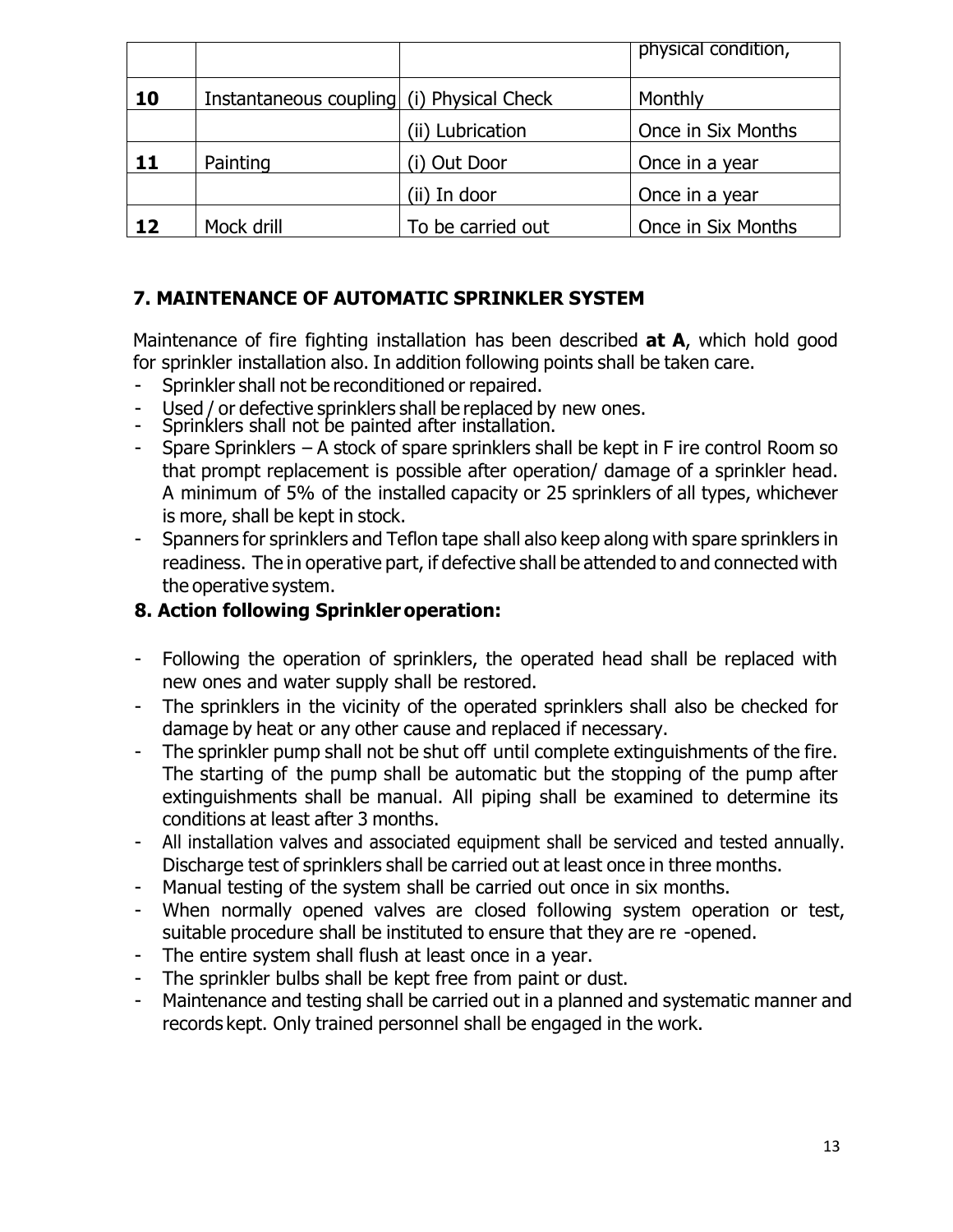|    |                                           |                   | physical condition, |
|----|-------------------------------------------|-------------------|---------------------|
| 10 | Instantaneous coupling (i) Physical Check |                   | Monthly             |
|    |                                           | (ii) Lubrication  | Once in Six Months  |
| 11 | Painting                                  | (i) Out Door      | Once in a year      |
|    |                                           | (ii) In door      | Once in a year      |
| 12 | Mock drill                                | To be carried out | Once in Six Months  |

## **7. MAINTENANCE OF AUTOMATIC SPRINKLER SYSTEM**

Maintenance of fire fighting installation has been described **at A**, which hold good for sprinkler installation also. In addition following points shall be taken care.

- Sprinkler shall not be reconditioned or repaired.
- Used / or defective sprinklers shall be replaced by new ones.
- Sprinklers shall not be painted after installation.
- Spare Sprinklers  $-$  A stock of spare sprinklers shall be kept in F ire control Room so that prompt replacement is possible after operation/ damage of a sprinkler head. A minimum of 5% of the installed capacity or 25 sprinklers of all types, whichever is more, shall be kept in stock.
- Spanners for sprinklers and Teflon tape shall also keep along with spare sprinklers in readiness. The in operative part, if defective shall be attended to and connected with the operative system.

#### **8. Action following Sprinkler operation:**

- Following the operation of sprinklers, the operated head shall be replaced with new ones and water supply shall be restored.
- The sprinklers in the vicinity of the operated sprinklers shall also be checked for damage by heat or any other cause and replaced if necessary.
- The sprinkler pump shall not be shut off until complete extinguishments of the fire. The starting of the pump shall be automatic but the stopping of the pump after extinguishments shall be manual. All piping shall be examined to determine its conditions at least after 3 months.
- All installation valves and associated equipment shall be serviced and tested annually. Discharge test of sprinklers shall be carried out at least once in three months.
- Manual testing of the system shall be carried out once in six months.
- When normally opened valves are closed following system operation or test, suitable procedure shall be instituted to ensure that they are re -opened.
- The entire system shall flush at least once in a year.
- The sprinkler bulbs shall be kept free from paint or dust.
- Maintenance and testing shall be carried out in a planned and systematic manner and records kept. Only trained personnel shall be engaged in the work.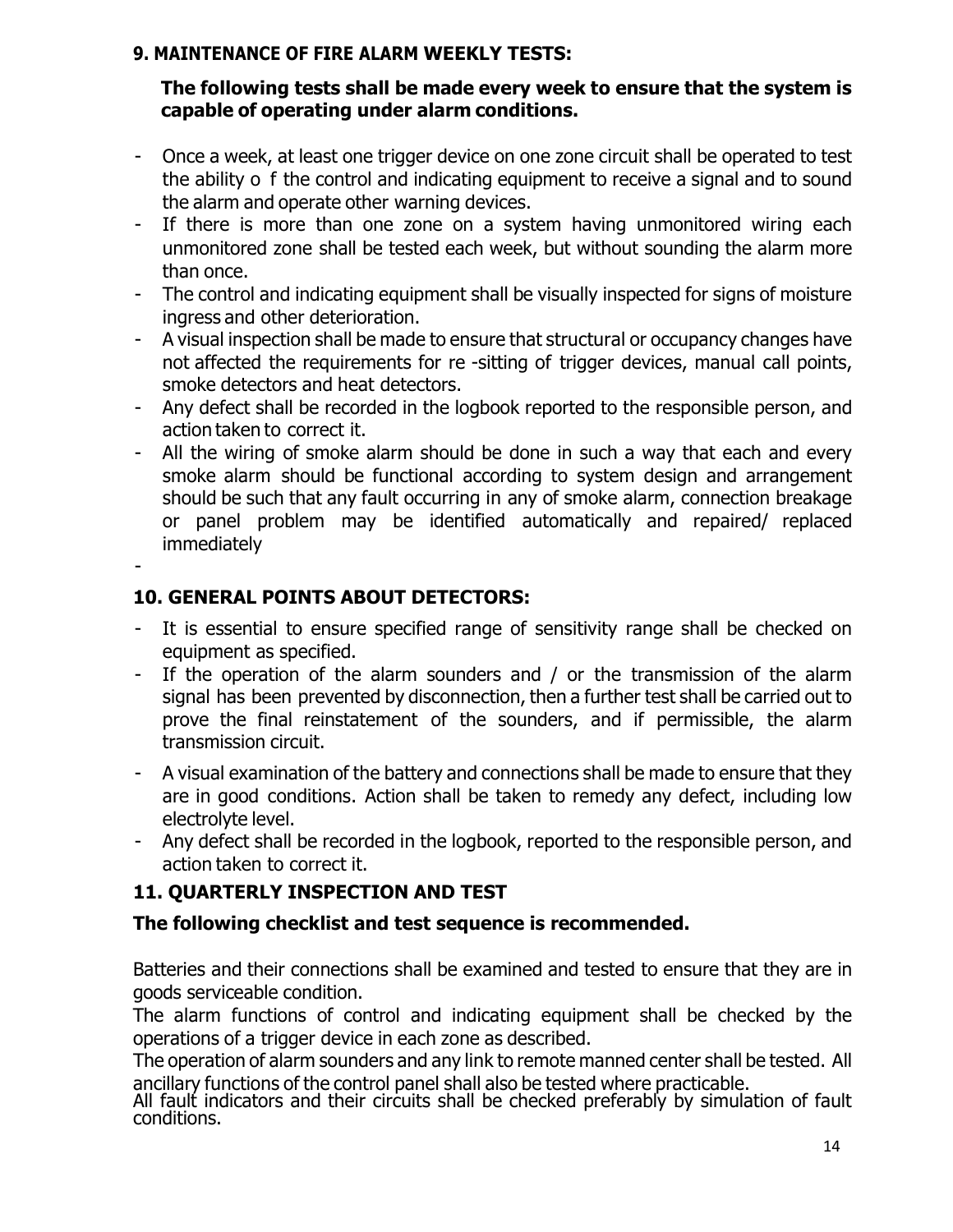#### **9. MAINTENANCE OF FIRE ALARM WEEKLY TESTS:**

#### **The following tests shall be made every week to ensure that the system is capable of operating under alarm conditions.**

- Once a week, at least one trigger device on one zone circuit shall be operated to test the ability o f the control and indicating equipment to receive a signal and to sound the alarm and operate other warning devices.
- If there is more than one zone on a system having unmonitored wiring each unmonitored zone shall be tested each week, but without sounding the alarm more than once.
- The control and indicating equipment shall be visually inspected for signs of moisture ingress and other deterioration.
- A visual inspection shall be made to ensure that structural or occupancy changes have not affected the requirements for re -sitting of trigger devices, manual call points, smoke detectors and heat detectors.
- Any defect shall be recorded in the logbook reported to the responsible person, and action taken to correct it.
- All the wiring of smoke alarm should be done in such a way that each and every smoke alarm should be functional according to system design and arrangement should be such that any fault occurring in any of smoke alarm, connection breakage or panel problem may be identified automatically and repaired/ replaced immediately

-

#### **10. GENERAL POINTS ABOUT DETECTORS:**

- It is essential to ensure specified range of sensitivity range shall be checked on equipment as specified.
- If the operation of the alarm sounders and / or the transmission of the alarm signal has been prevented by disconnection, then a further test shall be carried out to prove the final reinstatement of the sounders, and if permissible, the alarm transmission circuit.
- A visual examination of the battery and connections shall be made to ensure that they are in good conditions. Action shall be taken to remedy any defect, including low electrolyte level.
- Any defect shall be recorded in the logbook, reported to the responsible person, and action taken to correct it.

## **11. QUARTERLY INSPECTION AND TEST**

#### **The following checklist and test sequence is recommended.**

Batteries and their connections shall be examined and tested to ensure that they are in goods serviceable condition.

The alarm functions of control and indicating equipment shall be checked by the operations of a trigger device in each zone as described.

The operation of alarm sounders and any link to remote manned center shall be tested. All ancillary functions of the control panel shall also be tested where practicable.

All fault indicators and their circuits shall be checked preferably by simulation of fault conditions.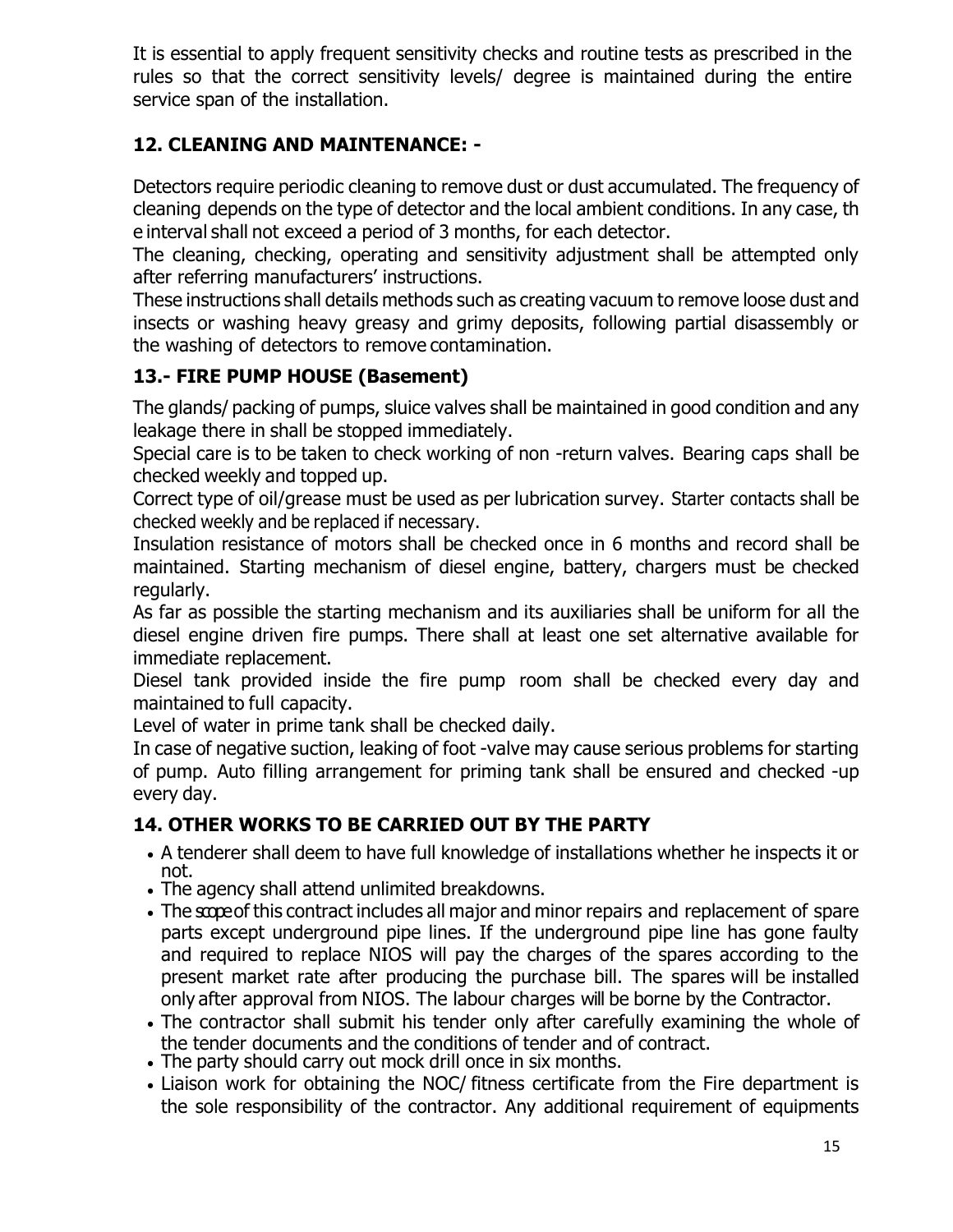It is essential to apply frequent sensitivity checks and routine tests as prescribed in the rules so that the correct sensitivity levels/ degree is maintained during the entire service span of the installation.

## **12. CLEANING AND MAINTENANCE: -**

Detectors require periodic cleaning to remove dust or dust accumulated. The frequency of cleaning depends on the type of detector and the local ambient conditions. In any case, th e interval shall not exceed a period of 3 months, for each detector.

The cleaning, checking, operating and sensitivity adjustment shall be attempted only after referring manufacturers' instructions.

These instructions shall details methods such as creating vacuum to remove loose dust and insects or washing heavy greasy and grimy deposits, following partial disassembly or the washing of detectors to remove contamination.

## **13.- FIRE PUMP HOUSE (Basement)**

The glands/ packing of pumps, sluice valves shall be maintained in good condition and any leakage there in shall be stopped immediately.

Special care is to be taken to check working of non -return valves. Bearing caps shall be checked weekly and topped up.

Correct type of oil/grease must be used as per lubrication survey. Starter contacts shall be checked weekly and be replaced if necessary.

Insulation resistance of motors shall be checked once in 6 months and record shall be maintained. Starting mechanism of diesel engine, battery, chargers must be checked regularly.

As far as possible the starting mechanism and its auxiliaries shall be uniform for all the diesel engine driven fire pumps. There shall at least one set alternative available for immediate replacement.

Diesel tank provided inside the fire pump room shall be checked every day and maintained to full capacity.

Level of water in prime tank shall be checked daily.

In case of negative suction, leaking of foot -valve may cause serious problems for starting of pump. Auto filling arrangement for priming tank shall be ensured and checked -up every day.

## **14. OTHER WORKS TO BE CARRIED OUT BY THE PARTY**

- A tenderer shall deem to have full knowledge of installations whether he inspects it or not.
- The agency shall attend unlimited breakdowns.
- The scope of this contract includes all major and minor repairs and replacement of spare parts except underground pipe lines. If the underground pipe line has gone faulty and required to replace NIOS will pay the charges of the spares according to the present market rate after producing the purchase bill. The spares will be installed only after approval from NIOS. The labour charges will be borne by the Contractor.
- The contractor shall submit his tender only after carefully examining the whole of the tender documents and the conditions of tender and of contract.
- The party should carry out mock drill once in six months.
- Liaison work for obtaining the NOC/ fitness certificate from the Fire department is the sole responsibility of the contractor. Any additional requirement of equipments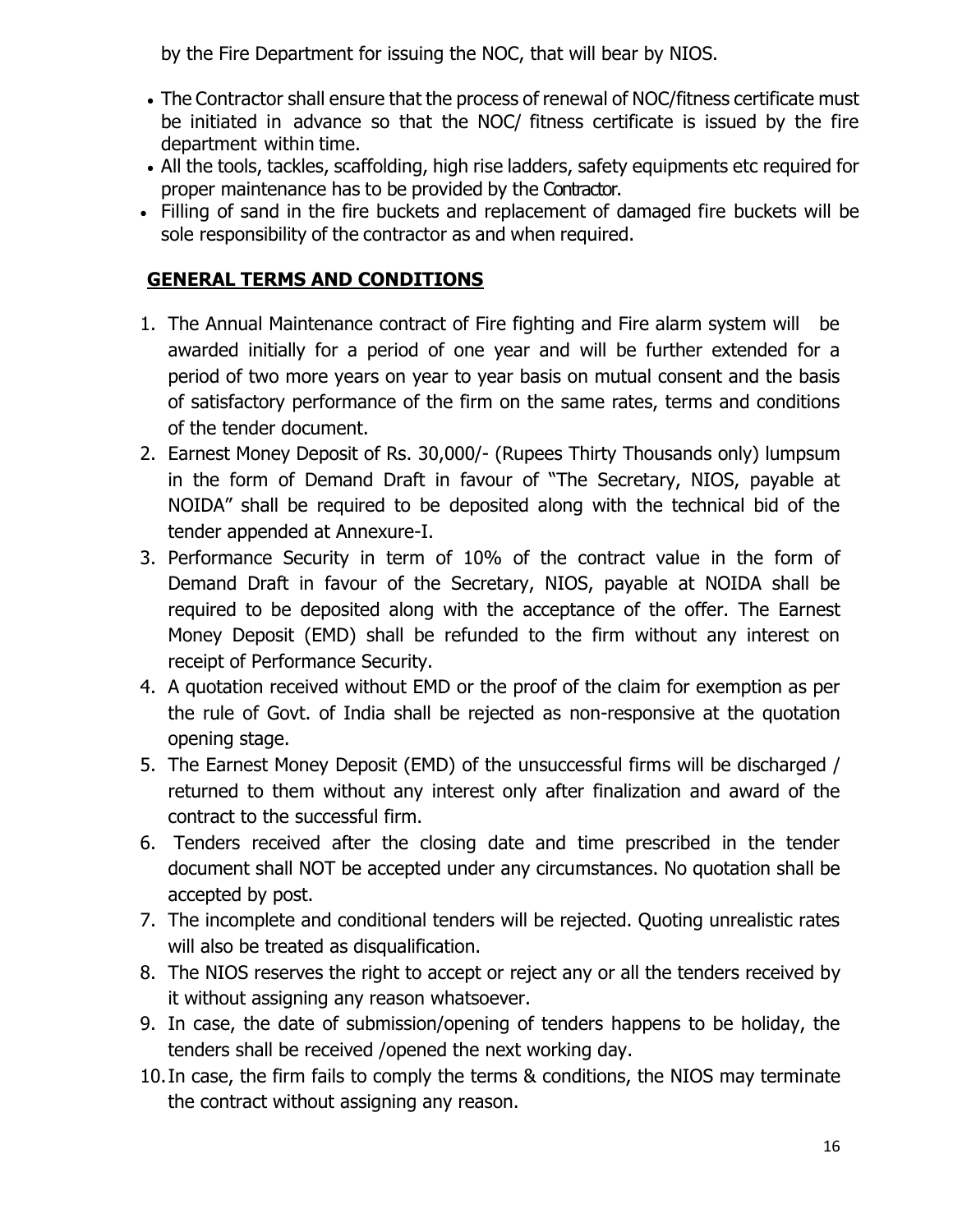by the Fire Department for issuing the NOC, that will bear by NIOS.

- The Contractor shall ensure that the process of renewal of NOC/fitness certificate must be initiated in advance so that the NOC/ fitness certificate is issued by the fire department within time.
- All the tools, tackles, scaffolding, high rise ladders, safety equipments etc required for proper maintenance has to be provided by the Contractor.
- Filling of sand in the fire buckets and replacement of damaged fire buckets will be sole responsibility of the contractor as and when required.

#### **GENERAL TERMS AND CONDITIONS**

- 1. The Annual Maintenance contract of Fire fighting and Fire alarm system will be awarded initially for a period of one year and will be further extended for a period of two more years on year to year basis on mutual consent and the basis of satisfactory performance of the firm on the same rates, terms and conditions of the tender document.
- 2. Earnest Money Deposit of Rs. 30,000/- (Rupees Thirty Thousands only) lumpsum in the form of Demand Draft in favour of "The Secretary, NIOS, payable at NOIDA" shall be required to be deposited along with the technical bid of the tender appended at Annexure-I.
- 3. Performance Security in term of 10% of the contract value in the form of Demand Draft in favour of the Secretary, NIOS, payable at NOIDA shall be required to be deposited along with the acceptance of the offer. The Earnest Money Deposit (EMD) shall be refunded to the firm without any interest on receipt of Performance Security.
- 4. A quotation received without EMD or the proof of the claim for exemption as per the rule of Govt. of India shall be rejected as non-responsive at the quotation opening stage.
- 5. The Earnest Money Deposit (EMD) of the unsuccessful firms will be discharged / returned to them without any interest only after finalization and award of the contract to the successful firm.
- 6. Tenders received after the closing date and time prescribed in the tender document shall NOT be accepted under any circumstances. No quotation shall be accepted by post.
- 7. The incomplete and conditional tenders will be rejected. Quoting unrealistic rates will also be treated as disqualification.
- 8. The NIOS reserves the right to accept or reject any or all the tenders received by it without assigning any reason whatsoever.
- 9. In case, the date of submission/opening of tenders happens to be holiday, the tenders shall be received /opened the next working day.
- 10.In case, the firm fails to comply the terms & conditions, the NIOS may terminate the contract without assigning any reason.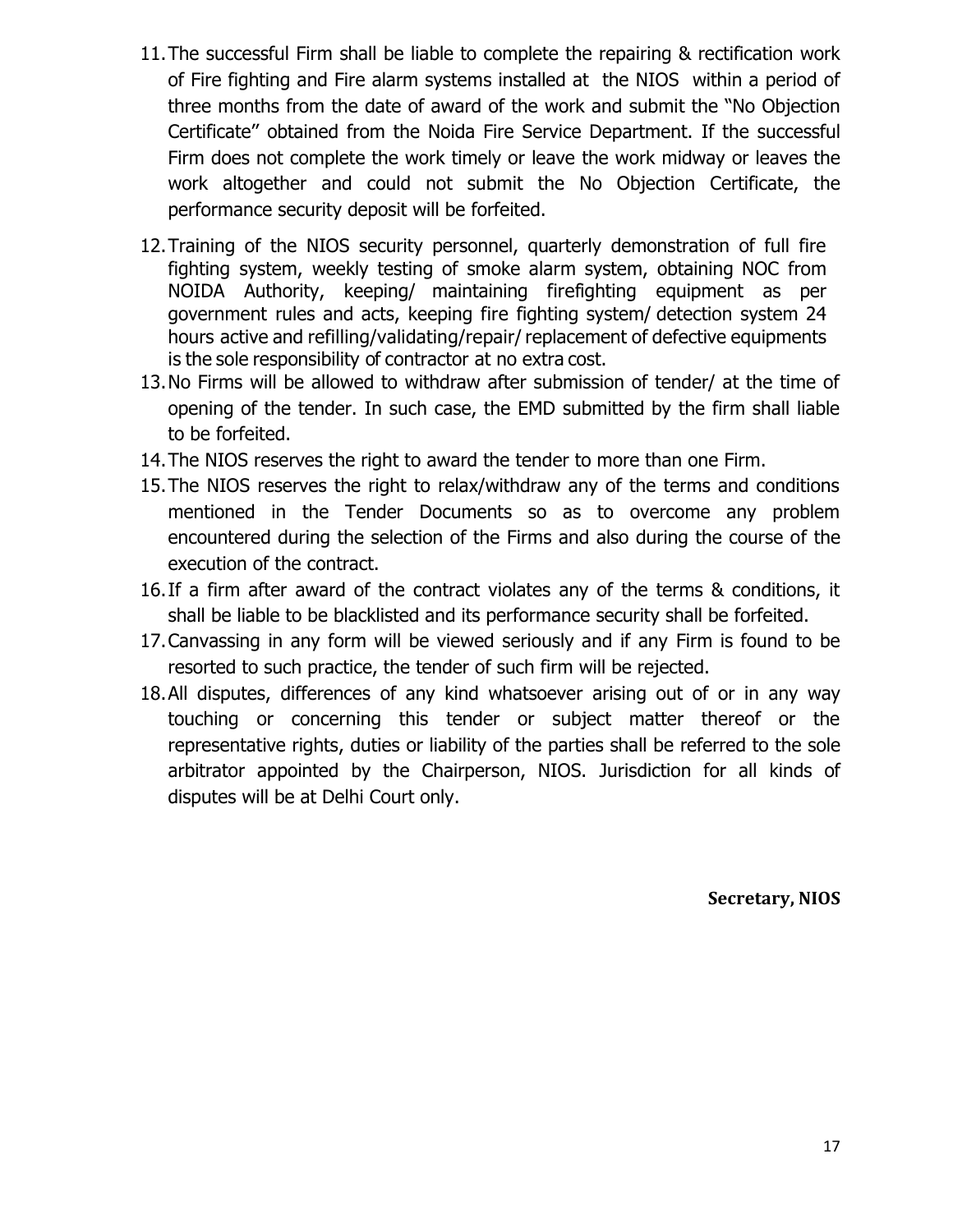- 11.The successful Firm shall be liable to complete the repairing & rectification work of Fire fighting and Fire alarm systems installed at the NIOS within a period of three months from the date of award of the work and submit the "No Objection Certificate'' obtained from the Noida Fire Service Department. If the successful Firm does not complete the work timely or leave the work midway or leaves the work altogether and could not submit the No Objection Certificate, the performance security deposit will be forfeited.
- 12.Training of the NIOS security personnel, quarterly demonstration of full fire fighting system, weekly testing of smoke alarm system, obtaining NOC from NOIDA Authority, keeping/ maintaining firefighting equipment as per government rules and acts, keeping fire fighting system/ detection system 24 hours active and refilling/validating/repair/ replacement of defective equipments is the sole responsibility of contractor at no extra cost.
- 13.No Firms will be allowed to withdraw after submission of tender/ at the time of opening of the tender. In such case, the EMD submitted by the firm shall liable to be forfeited.
- 14.The NIOS reserves the right to award the tender to more than one Firm.
- 15.The NIOS reserves the right to relax/withdraw any of the terms and conditions mentioned in the Tender Documents so as to overcome any problem encountered during the selection of the Firms and also during the course of the execution of the contract.
- 16.If a firm after award of the contract violates any of the terms & conditions, it shall be liable to be blacklisted and its performance security shall be forfeited.
- 17.Canvassing in any form will be viewed seriously and if any Firm is found to be resorted to such practice, the tender of such firm will be rejected.
- 18.All disputes, differences of any kind whatsoever arising out of or in any way touching or concerning this tender or subject matter thereof or the representative rights, duties or liability of the parties shall be referred to the sole arbitrator appointed by the Chairperson, NIOS. Jurisdiction for all kinds of disputes will be at Delhi Court only.

**Secretary, NIOS**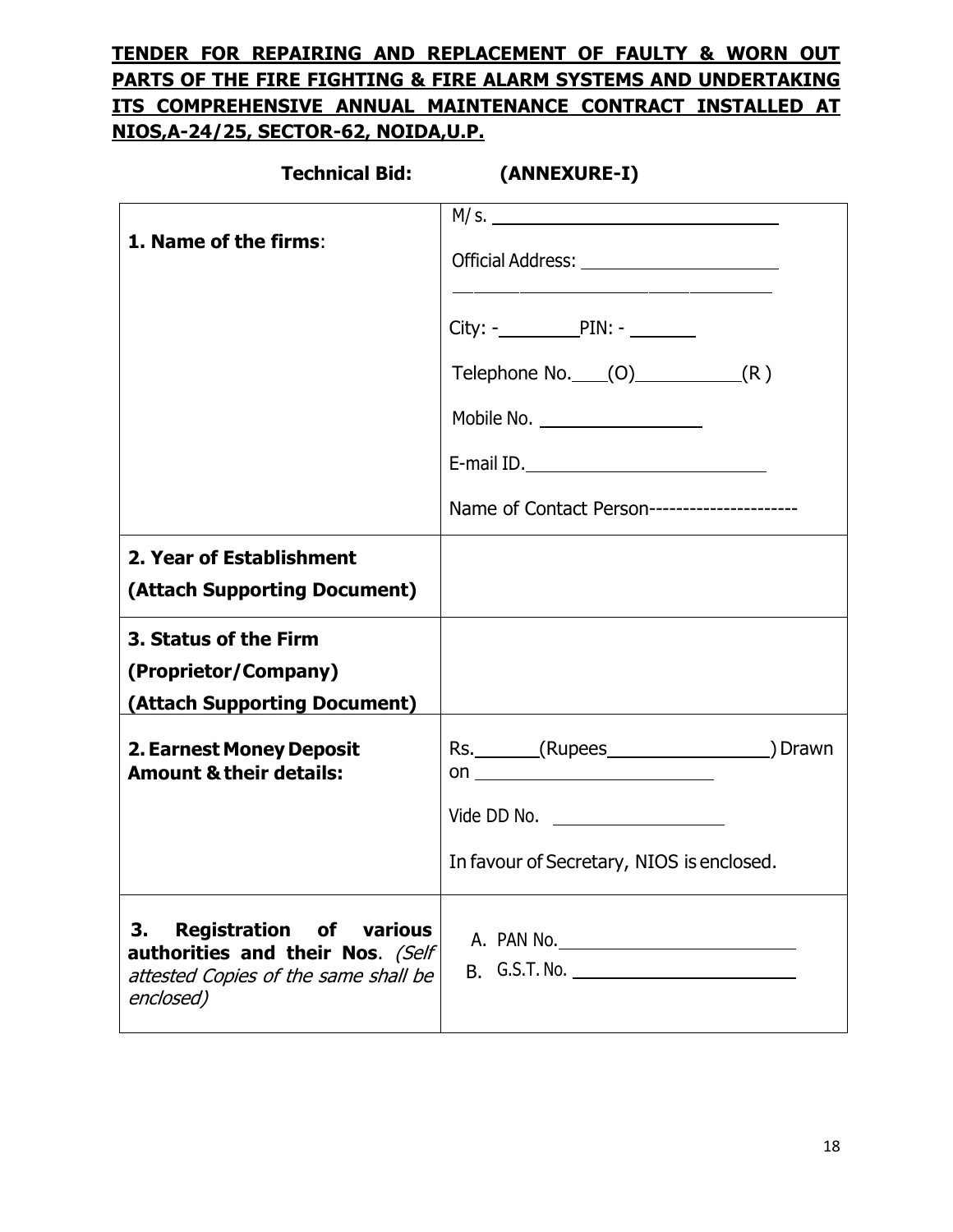## **TENDER FOR REPAIRING AND REPLACEMENT OF FAULTY & WORN OUT PARTS OF THE FIRE FIGHTING & FIRE ALARM SYSTEMS AND UNDERTAKING ITS COMPREHENSIVE ANNUAL MAINTENANCE CONTRACT INSTALLED AT NIOS,A-24/25, SECTOR-62, NOIDA,U.P.**

| <b>Technical Bid:</b>                                                                                                         | (ANNEXURE-I)                                                                                                                     |
|-------------------------------------------------------------------------------------------------------------------------------|----------------------------------------------------------------------------------------------------------------------------------|
| 1. Name of the firms:                                                                                                         |                                                                                                                                  |
|                                                                                                                               | $City:  PIN:  2222$<br>Telephone No. $(0)$ (R)<br>Mobile No. ___________________<br>Name of Contact Person---------------------- |
| 2. Year of Establishment<br>(Attach Supporting Document)<br>3. Status of the Firm                                             |                                                                                                                                  |
| (Proprietor/Company)<br>(Attach Supporting Document)                                                                          |                                                                                                                                  |
| 2. Earnest Money Deposit<br><b>Amount &amp; their details:</b>                                                                | Rs. _______(Rupees_____________________) Drawn<br>Vide DD No. ____________________<br>In favour of Secretary, NIOS is enclosed.  |
| <b>Registration of various</b><br>3.<br>authorities and their Nos. (Self<br>attested Copies of the same shall be<br>enclosed) |                                                                                                                                  |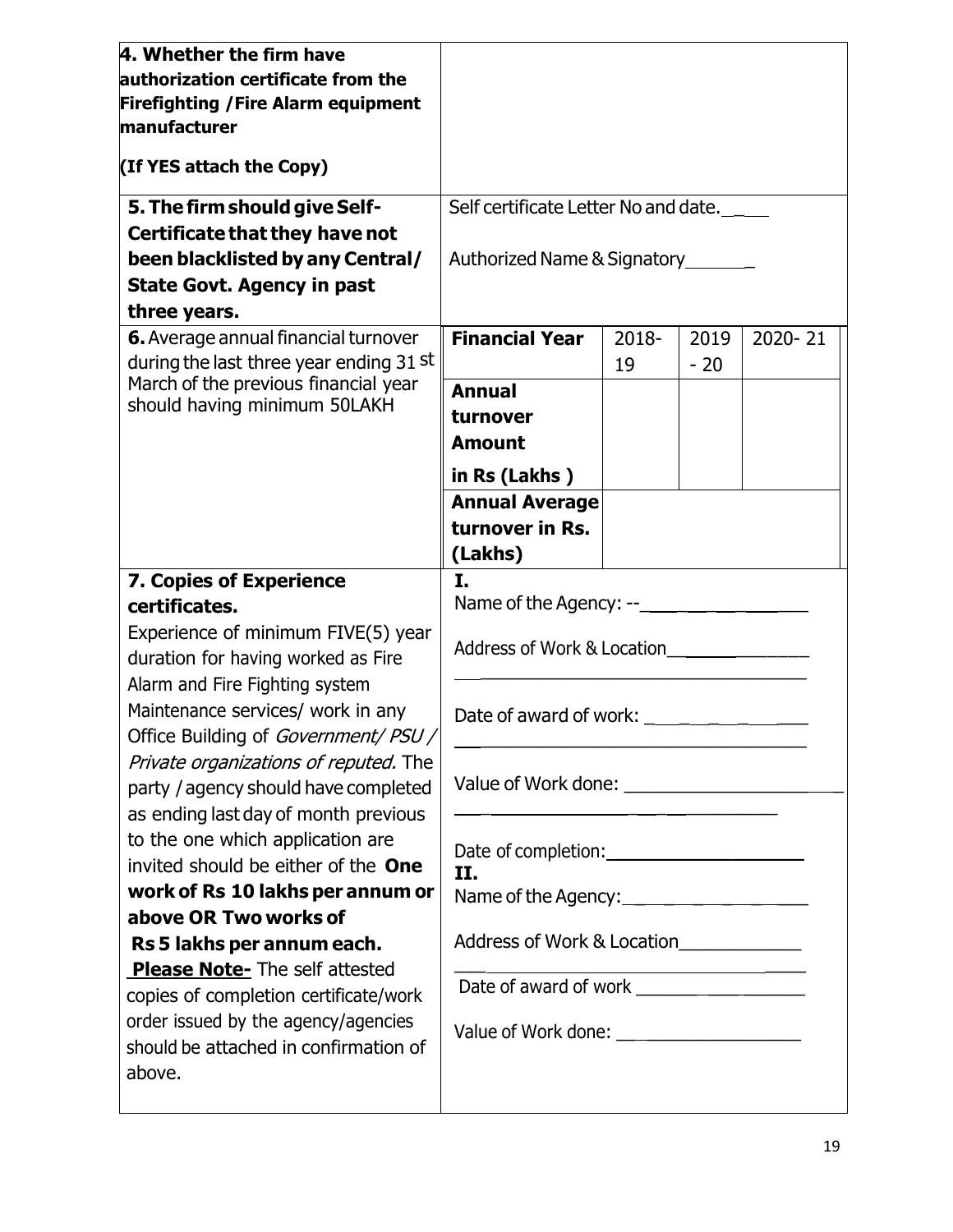| 4. Whether the firm have<br>authorization certificate from the<br><b>Firefighting / Fire Alarm equipment</b><br>manufacturer<br>(If YES attach the Copy)                                                                                                                                                                                                                                                                                                                    | Self certificate Letter No and date.                                                            |             |               |         |  |
|-----------------------------------------------------------------------------------------------------------------------------------------------------------------------------------------------------------------------------------------------------------------------------------------------------------------------------------------------------------------------------------------------------------------------------------------------------------------------------|-------------------------------------------------------------------------------------------------|-------------|---------------|---------|--|
| 5. The firm should give Self-<br>Certificate that they have not                                                                                                                                                                                                                                                                                                                                                                                                             |                                                                                                 |             |               |         |  |
| been blacklisted by any Central/                                                                                                                                                                                                                                                                                                                                                                                                                                            | Authorized Name & Signatory _______                                                             |             |               |         |  |
| <b>State Govt. Agency in past</b><br>three years.                                                                                                                                                                                                                                                                                                                                                                                                                           |                                                                                                 |             |               |         |  |
| 6. Average annual financial turnover<br>during the last three year ending 31 st                                                                                                                                                                                                                                                                                                                                                                                             | <b>Financial Year</b>                                                                           | 2018-<br>19 | 2019<br>$-20$ | 2020-21 |  |
| March of the previous financial year<br>should having minimum 50LAKH                                                                                                                                                                                                                                                                                                                                                                                                        | <b>Annual</b><br>turnover<br><b>Amount</b>                                                      |             |               |         |  |
|                                                                                                                                                                                                                                                                                                                                                                                                                                                                             | in Rs (Lakhs)<br><b>Annual Average</b><br>turnover in Rs.<br>(Lakhs)                            |             |               |         |  |
| 7. Copies of Experience<br>certificates.<br>Experience of minimum FIVE(5) year<br>duration for having worked as Fire<br>Alarm and Fire Fighting system<br>Maintenance services/ work in any<br>Office Building of Government/ PSU /<br>Private organizations of reputed. The<br>party / agency should have completed<br>as ending last day of month previous<br>to the one which application are<br>invited should be either of the One<br>work of Rs 10 lakhs per annum or | I.<br>Address of Work & Location<br>II.                                                         |             |               |         |  |
| above OR Two works of<br>Rs 5 lakhs per annum each.<br>Please Note- The self attested<br>copies of completion certificate/work<br>order issued by the agency/agencies<br>should be attached in confirmation of<br>above.                                                                                                                                                                                                                                                    | Name of the Agency:<br>Address of Work & Location<br>Value of Work done: ______________________ |             |               |         |  |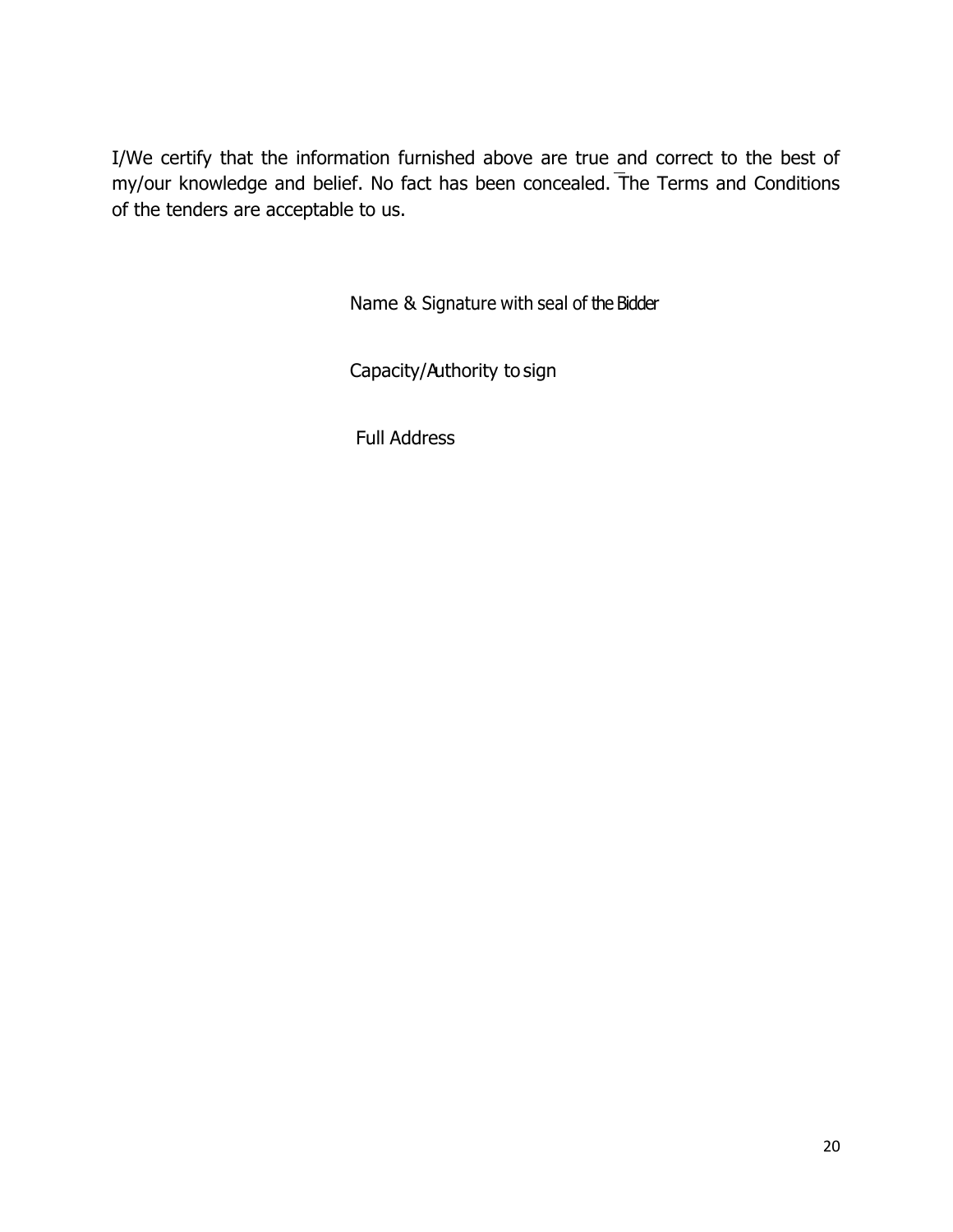I/We certify that the information furnished above are true and correct to the best of my/our knowledge and belief. No fact has been concealed. The Terms and Conditions of the tenders are acceptable to us.

Name & Signature with seal of the Bidder

Capacity/Authority to sign

Full Address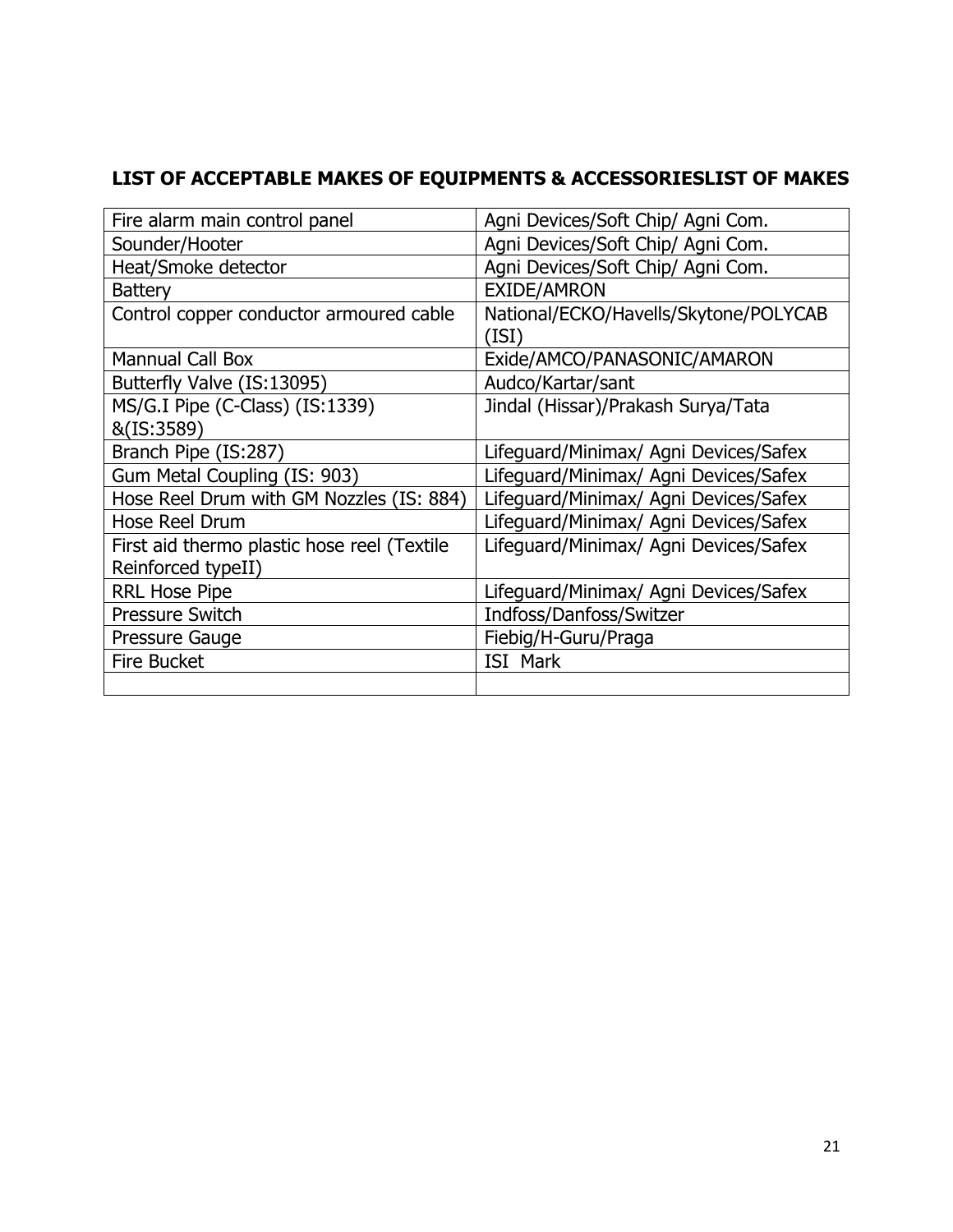## **LIST OF ACCEPTABLE MAKES OF EQUIPMENTS & ACCESSORIESLIST OF MAKES**

| Fire alarm main control panel               | Agni Devices/Soft Chip/ Agni Com.              |
|---------------------------------------------|------------------------------------------------|
| Sounder/Hooter                              | Agni Devices/Soft Chip/ Agni Com.              |
| Heat/Smoke detector                         | Agni Devices/Soft Chip/ Agni Com.              |
| <b>Battery</b>                              | <b>EXIDE/AMRON</b>                             |
| Control copper conductor armoured cable     | National/ECKO/Havells/Skytone/POLYCAB<br>(ISI) |
| <b>Mannual Call Box</b>                     | Exide/AMCO/PANASONIC/AMARON                    |
| Butterfly Valve (IS:13095)                  | Audco/Kartar/sant                              |
| MS/G.I Pipe (C-Class) (IS:1339)             | Jindal (Hissar)/Prakash Surya/Tata             |
| &(IS:3589)                                  |                                                |
| Branch Pipe (IS:287)                        | Lifeguard/Minimax/ Agni Devices/Safex          |
| Gum Metal Coupling (IS: 903)                | Lifeguard/Minimax/ Agni Devices/Safex          |
| Hose Reel Drum with GM Nozzles (IS: 884)    | Lifeguard/Minimax/ Agni Devices/Safex          |
| Hose Reel Drum                              | Lifeguard/Minimax/ Agni Devices/Safex          |
| First aid thermo plastic hose reel (Textile | Lifeguard/Minimax/ Agni Devices/Safex          |
| Reinforced typeII)                          |                                                |
| <b>RRL Hose Pipe</b>                        | Lifeguard/Minimax/ Agni Devices/Safex          |
| <b>Pressure Switch</b>                      | Indfoss/Danfoss/Switzer                        |
| Pressure Gauge                              | Fiebig/H-Guru/Praga                            |
| <b>Fire Bucket</b>                          | <b>ISI Mark</b>                                |
|                                             |                                                |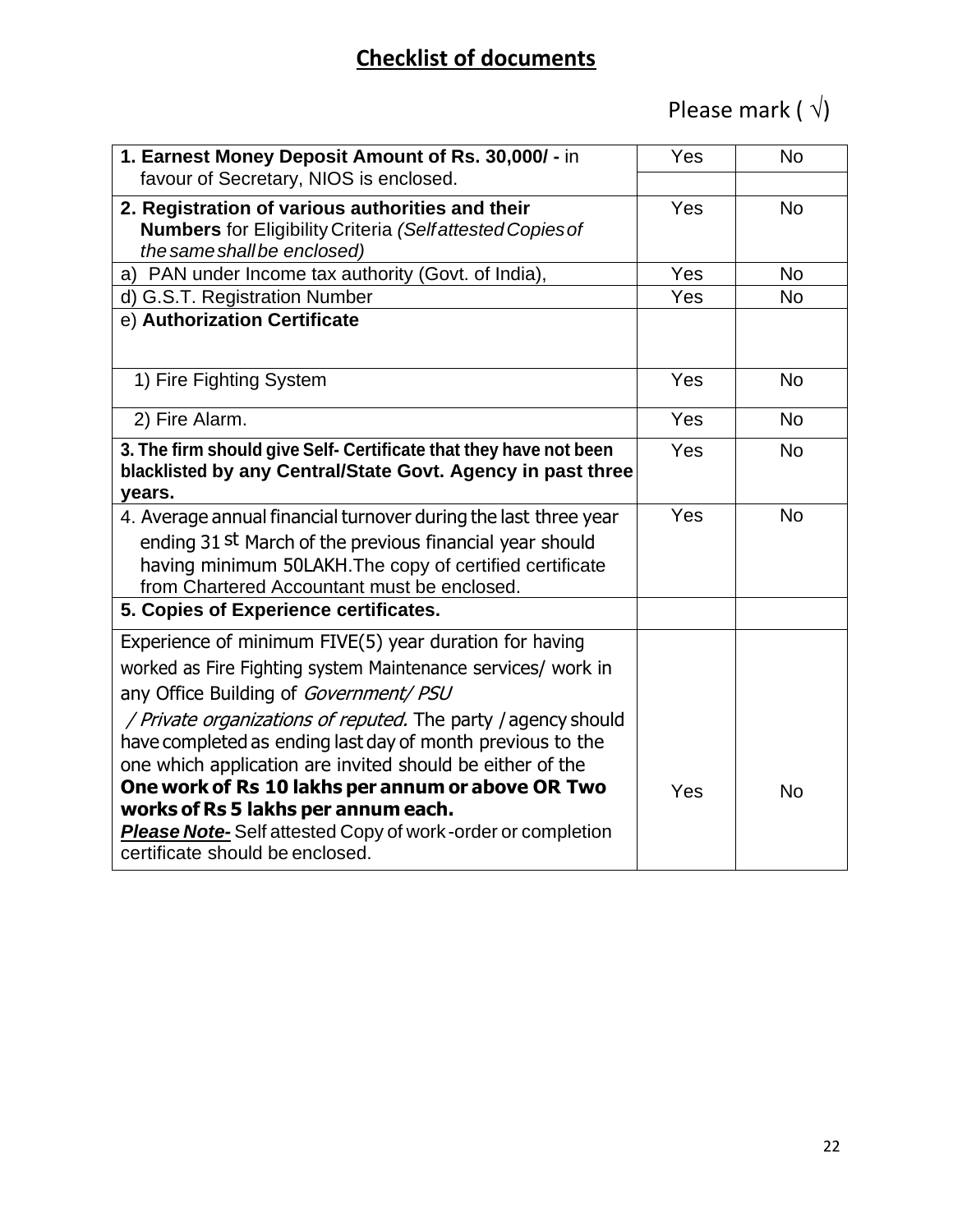## **Checklist of documents**

# Please mark ( $\sqrt{ }$ )

| 1. Earnest Money Deposit Amount of Rs. 30,000/ - in<br>favour of Secretary, NIOS is enclosed.                                                                                                                                          | Yes | <b>No</b> |
|----------------------------------------------------------------------------------------------------------------------------------------------------------------------------------------------------------------------------------------|-----|-----------|
| 2. Registration of various authorities and their<br><b>Numbers</b> for Eligibility Criteria (Selfattested Copies of<br>the same shall be enclosed)                                                                                     | Yes | <b>No</b> |
| a) PAN under Income tax authority (Govt. of India),                                                                                                                                                                                    | Yes | <b>No</b> |
| d) G.S.T. Registration Number                                                                                                                                                                                                          | Yes | <b>No</b> |
| e) Authorization Certificate                                                                                                                                                                                                           |     |           |
| 1) Fire Fighting System                                                                                                                                                                                                                | Yes | <b>No</b> |
| 2) Fire Alarm.                                                                                                                                                                                                                         | Yes | <b>No</b> |
| 3. The firm should give Self- Certificate that they have not been<br>blacklisted by any Central/State Govt. Agency in past three<br>years.                                                                                             | Yes | <b>No</b> |
| 4. Average annual financial turnover during the last three year<br>ending 31 st March of the previous financial year should<br>having minimum 50LAKH. The copy of certified certificate<br>from Chartered Accountant must be enclosed. | Yes | <b>No</b> |
| 5. Copies of Experience certificates.                                                                                                                                                                                                  |     |           |
| Experience of minimum FIVE(5) year duration for having<br>worked as Fire Fighting system Maintenance services/ work in<br>any Office Building of Government/ PSU                                                                       |     |           |
| / Private organizations of reputed. The party / agency should<br>have completed as ending last day of month previous to the<br>one which application are invited should be either of the                                               |     |           |
| One work of Rs 10 lakhs per annum or above OR Two<br>works of Rs 5 lakhs per annum each.<br><b>Please Note-Self attested Copy of work-order or completion</b><br>certificate should be enclosed.                                       | Yes | <b>No</b> |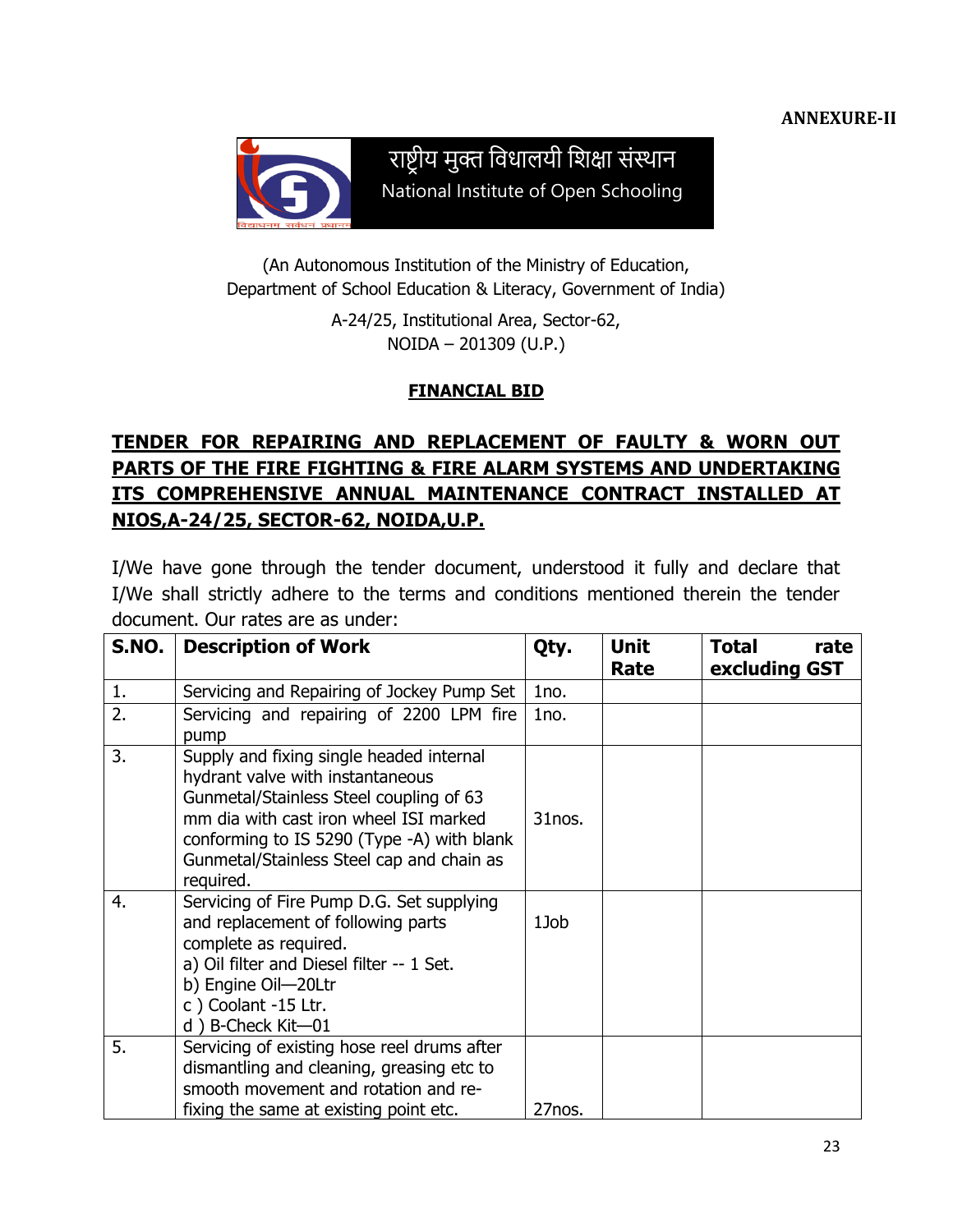

राष्ट्रीय मुक्त विधालयी विक्षा संस्थान National Institute of Open Schooling

(An Autonomous Institution of the Ministry of Education, Department of School Education & Literacy, Government of India)

> A-24/25, Institutional Area, Sector-62, NOIDA – 201309 (U.P.)

#### **FINANCIAL BID**

## **TENDER FOR REPAIRING AND REPLACEMENT OF FAULTY & WORN OUT PARTS OF THE FIRE FIGHTING & FIRE ALARM SYSTEMS AND UNDERTAKING ITS COMPREHENSIVE ANNUAL MAINTENANCE CONTRACT INSTALLED AT NIOS,A-24/25, SECTOR-62, NOIDA,U.P.**

I/We have gone through the tender document, understood it fully and declare that I/We shall strictly adhere to the terms and conditions mentioned therein the tender document. Our rates are as under:

| S.NO. | <b>Description of Work</b>                                                                                                                                                                                                                                                | Qty.   | <b>Unit</b><br>Rate | Total<br>rate<br>excluding GST |
|-------|---------------------------------------------------------------------------------------------------------------------------------------------------------------------------------------------------------------------------------------------------------------------------|--------|---------------------|--------------------------------|
| 1.    | Servicing and Repairing of Jockey Pump Set                                                                                                                                                                                                                                | 1no.   |                     |                                |
| 2.    | Servicing and repairing of 2200 LPM fire<br>pump                                                                                                                                                                                                                          | 1no.   |                     |                                |
| 3.    | Supply and fixing single headed internal<br>hydrant valve with instantaneous<br>Gunmetal/Stainless Steel coupling of 63<br>mm dia with cast iron wheel ISI marked<br>conforming to IS 5290 (Type -A) with blank<br>Gunmetal/Stainless Steel cap and chain as<br>required. | 31nos. |                     |                                |
| 4.    | Servicing of Fire Pump D.G. Set supplying<br>and replacement of following parts<br>complete as required.<br>a) Oil filter and Diesel filter -- 1 Set.<br>b) Engine Oil-20Ltr<br>c) Coolant -15 Ltr.<br>d) B-Check Kit-01                                                  | 1Job   |                     |                                |
| 5.    | Servicing of existing hose reel drums after<br>dismantling and cleaning, greasing etc to<br>smooth movement and rotation and re-<br>fixing the same at existing point etc.                                                                                                | 27nos. |                     |                                |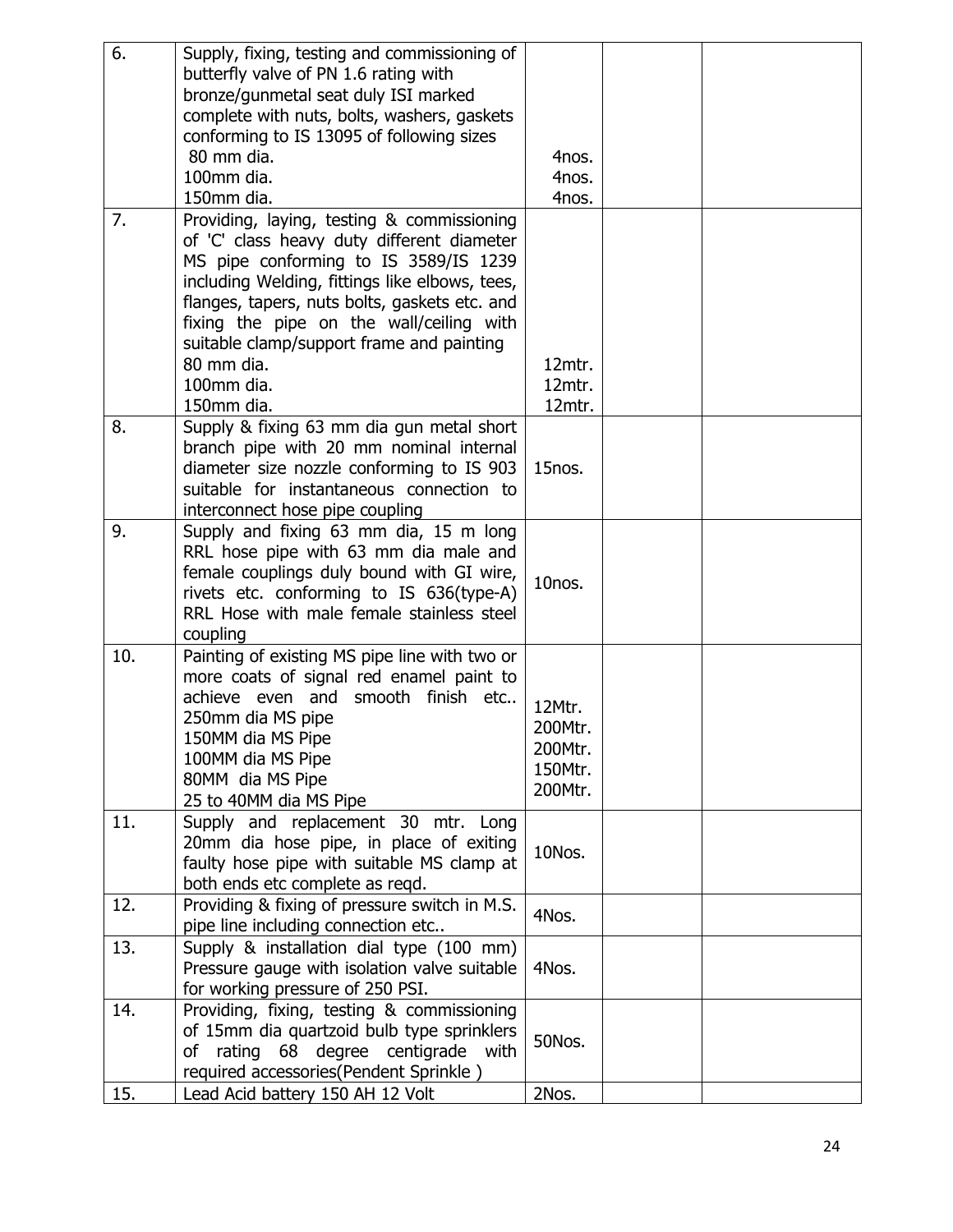| 6.  | Supply, fixing, testing and commissioning of   |         |  |
|-----|------------------------------------------------|---------|--|
|     | butterfly valve of PN 1.6 rating with          |         |  |
|     | bronze/gunmetal seat duly ISI marked           |         |  |
|     | complete with nuts, bolts, washers, gaskets    |         |  |
|     | conforming to IS 13095 of following sizes      |         |  |
|     | 80 mm dia.                                     | 4nos.   |  |
|     | 100mm dia.                                     | 4nos.   |  |
|     | 150mm dia.                                     | 4nos.   |  |
| 7.  | Providing, laying, testing & commissioning     |         |  |
|     | of 'C' class heavy duty different diameter     |         |  |
|     | MS pipe conforming to IS 3589/IS 1239          |         |  |
|     | including Welding, fittings like elbows, tees, |         |  |
|     | flanges, tapers, nuts bolts, gaskets etc. and  |         |  |
|     | fixing the pipe on the wall/ceiling with       |         |  |
|     | suitable clamp/support frame and painting      |         |  |
|     | 80 mm dia.                                     | 12mtr.  |  |
|     | 100mm dia.                                     | 12mtr.  |  |
|     | 150mm dia.                                     | 12mtr.  |  |
| 8.  | Supply & fixing 63 mm dia gun metal short      |         |  |
|     | branch pipe with 20 mm nominal internal        |         |  |
|     | diameter size nozzle conforming to IS 903      | 15nos.  |  |
|     | suitable for instantaneous connection to       |         |  |
|     | interconnect hose pipe coupling                |         |  |
| 9.  | Supply and fixing 63 mm dia, 15 m long         |         |  |
|     | RRL hose pipe with 63 mm dia male and          |         |  |
|     | female couplings duly bound with GI wire,      | 10nos.  |  |
|     | rivets etc. conforming to IS 636(type-A)       |         |  |
|     | RRL Hose with male female stainless steel      |         |  |
|     | coupling                                       |         |  |
| 10. | Painting of existing MS pipe line with two or  |         |  |
|     | more coats of signal red enamel paint to       |         |  |
|     | achieve even and<br>smooth finish etc          | 12Mtr.  |  |
|     | 250mm dia MS pipe                              | 200Mtr. |  |
|     | 150MM dia MS Pipe                              | 200Mtr. |  |
|     | 100MM dia MS Pipe                              | 150Mtr. |  |
|     | 80MM dia MS Pipe                               | 200Mtr. |  |
|     | 25 to 40MM dia MS Pipe                         |         |  |
| 11. | Supply and replacement 30 mtr. Long            |         |  |
|     | 20mm dia hose pipe, in place of exiting        | 10Nos.  |  |
|     | faulty hose pipe with suitable MS clamp at     |         |  |
|     | both ends etc complete as regd.                |         |  |
| 12. | Providing & fixing of pressure switch in M.S.  | 4Nos.   |  |
|     | pipe line including connection etc             |         |  |
| 13. | Supply & installation dial type (100 mm)       |         |  |
|     | Pressure gauge with isolation valve suitable   | 4Nos.   |  |
|     | for working pressure of 250 PSI.               |         |  |
| 14. | Providing, fixing, testing & commissioning     |         |  |
|     | of 15mm dia quartzoid bulb type sprinklers     | 50Nos.  |  |
|     | rating 68 degree centigrade with<br>of         |         |  |
|     | required accessories(Pendent Sprinkle)         |         |  |
| 15. | Lead Acid battery 150 AH 12 Volt               | 2Nos.   |  |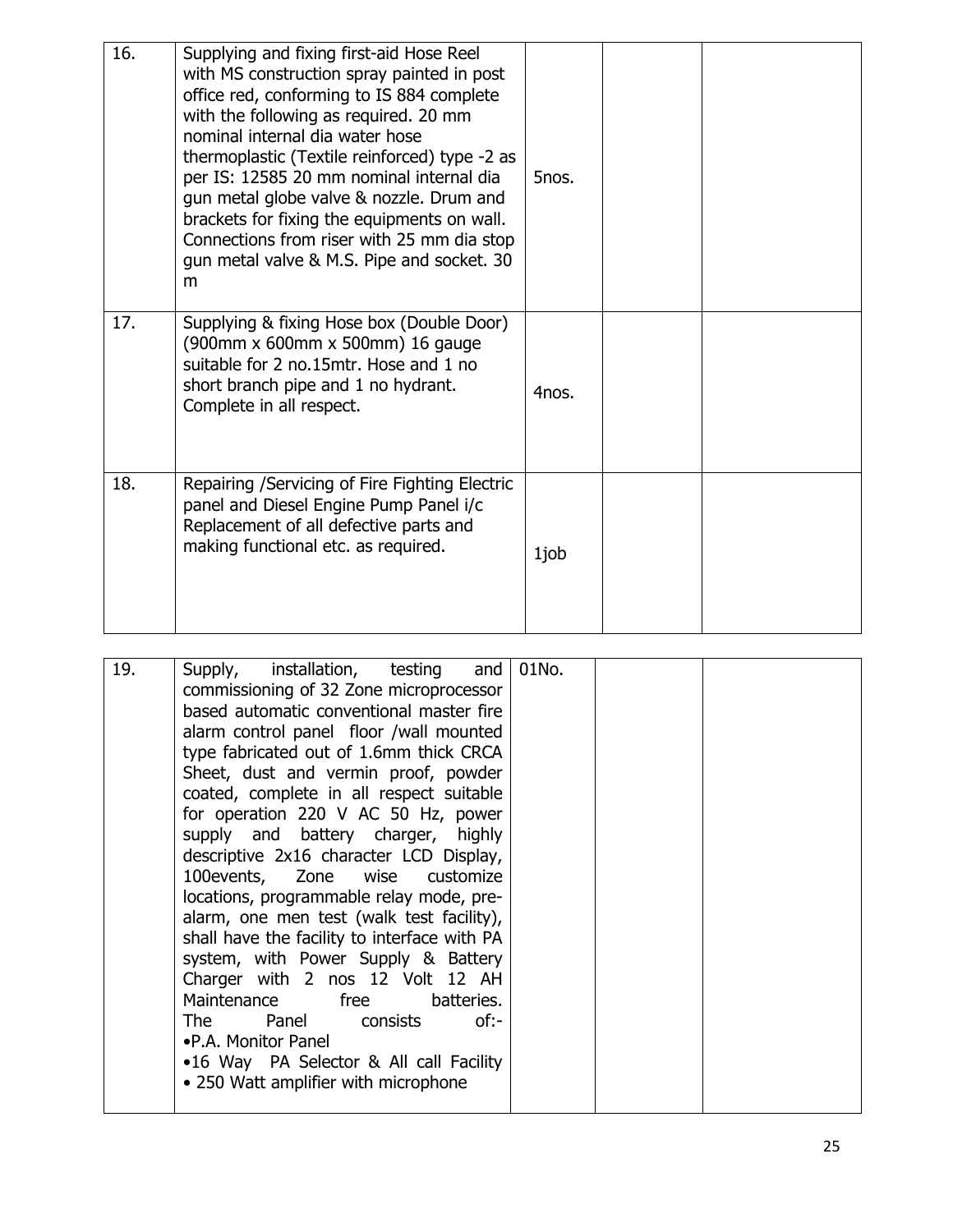| 16. | Supplying and fixing first-aid Hose Reel<br>with MS construction spray painted in post<br>office red, conforming to IS 884 complete<br>with the following as required. 20 mm<br>nominal internal dia water hose<br>thermoplastic (Textile reinforced) type -2 as<br>per IS: 12585 20 mm nominal internal dia<br>gun metal globe valve & nozzle. Drum and<br>brackets for fixing the equipments on wall.<br>Connections from riser with 25 mm dia stop<br>gun metal valve & M.S. Pipe and socket. 30<br>m | 5nos. |  |
|-----|----------------------------------------------------------------------------------------------------------------------------------------------------------------------------------------------------------------------------------------------------------------------------------------------------------------------------------------------------------------------------------------------------------------------------------------------------------------------------------------------------------|-------|--|
| 17. | Supplying & fixing Hose box (Double Door)<br>(900mm x 600mm x 500mm) 16 gauge<br>suitable for 2 no.15mtr. Hose and 1 no<br>short branch pipe and 1 no hydrant.<br>Complete in all respect.                                                                                                                                                                                                                                                                                                               | 4nos. |  |
| 18. | Repairing / Servicing of Fire Fighting Electric<br>panel and Diesel Engine Pump Panel i/c<br>Replacement of all defective parts and<br>making functional etc. as required.                                                                                                                                                                                                                                                                                                                               | 1job  |  |

| 19. | Supply, installation, testing and<br>commissioning of 32 Zone microprocessor<br>based automatic conventional master fire<br>alarm control panel floor /wall mounted<br>type fabricated out of 1.6mm thick CRCA<br>Sheet, dust and vermin proof, powder<br>coated, complete in all respect suitable<br>for operation 220 V AC 50 Hz, power<br>supply and battery charger, highly<br>descriptive 2x16 character LCD Display,<br>100 events, Zone wise customize<br>locations, programmable relay mode, pre-<br>alarm, one men test (walk test facility),<br>shall have the facility to interface with PA<br>system, with Power Supply & Battery<br>Charger with 2 nos 12 Volt 12 AH<br>Maintenance free batteries.<br>The 1<br>Panel consists<br>of:-<br>•P.A. Monitor Panel<br>•16 Way PA Selector & All call Facility<br>• 250 Watt amplifier with microphone | 01No. |  |
|-----|---------------------------------------------------------------------------------------------------------------------------------------------------------------------------------------------------------------------------------------------------------------------------------------------------------------------------------------------------------------------------------------------------------------------------------------------------------------------------------------------------------------------------------------------------------------------------------------------------------------------------------------------------------------------------------------------------------------------------------------------------------------------------------------------------------------------------------------------------------------|-------|--|
|-----|---------------------------------------------------------------------------------------------------------------------------------------------------------------------------------------------------------------------------------------------------------------------------------------------------------------------------------------------------------------------------------------------------------------------------------------------------------------------------------------------------------------------------------------------------------------------------------------------------------------------------------------------------------------------------------------------------------------------------------------------------------------------------------------------------------------------------------------------------------------|-------|--|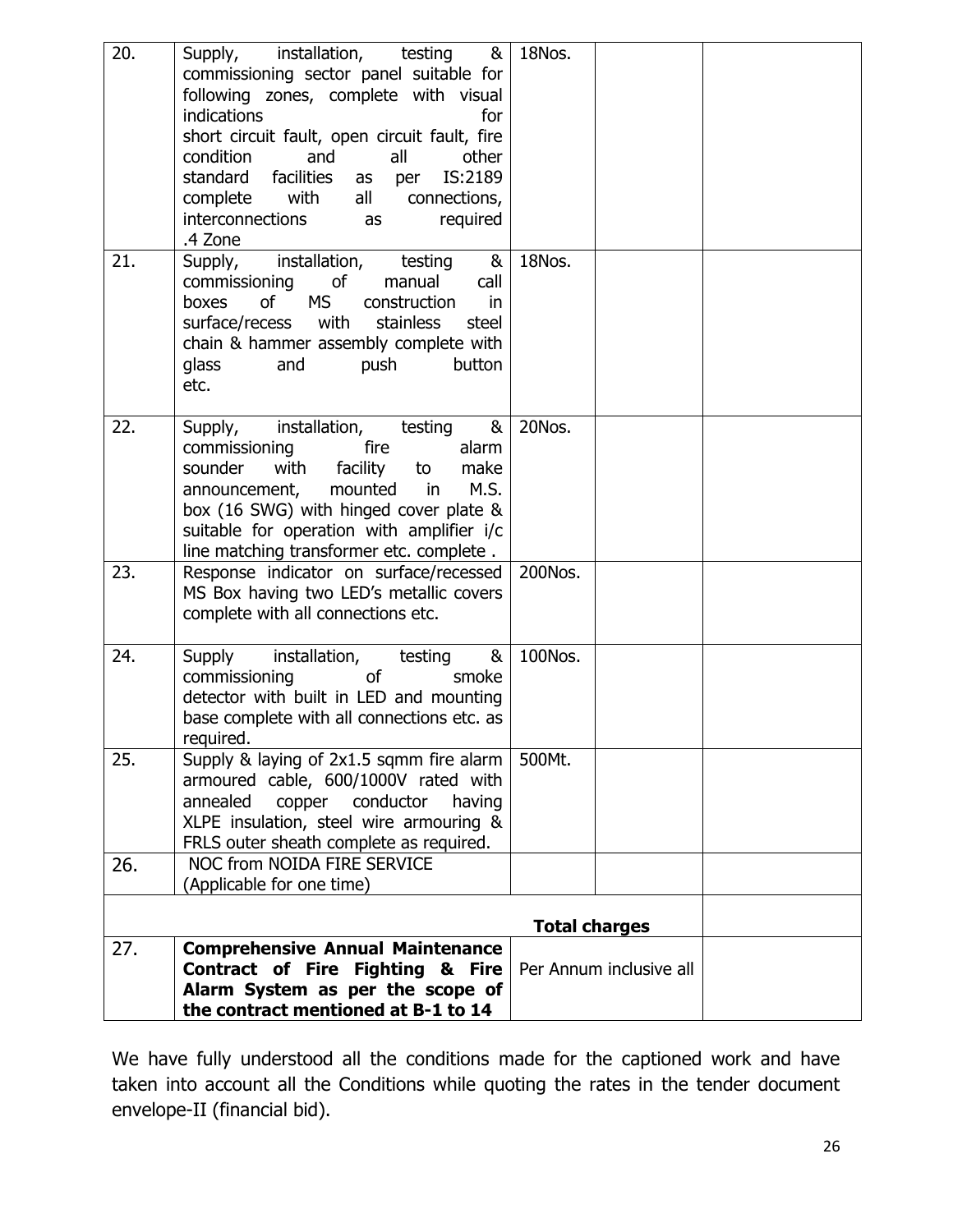| 20. | installation, testing &<br>Supply,<br>commissioning sector panel suitable for<br>following zones, complete with visual<br>indications<br>for<br>short circuit fault, open circuit fault, fire<br>condition<br>and<br>all<br>other<br>facilities<br>IS:2189<br>standard<br>as per<br>complete<br>with<br>all<br>connections,<br>interconnections<br>required<br>as<br>.4 Zone | 18Nos.                                          |  |
|-----|------------------------------------------------------------------------------------------------------------------------------------------------------------------------------------------------------------------------------------------------------------------------------------------------------------------------------------------------------------------------------|-------------------------------------------------|--|
| 21. | installation,<br>testing<br>&<br>Supply,<br>commissioning<br>of<br>manual<br>call<br><b>MS</b><br>boxes<br>of<br>construction<br>in<br>stainless<br>surface/recess with<br>steel<br>chain & hammer assembly complete with<br>push<br>glass<br>and<br>button<br>etc.                                                                                                          | 18Nos.                                          |  |
| 22. | installation, testing<br>&<br>Supply,<br>fire<br>commissioning<br>alarm<br>with<br>sounder<br>facility<br>to<br>make<br>announcement,<br>mounted in<br>M.S.<br>box (16 SWG) with hinged cover plate &<br>suitable for operation with amplifier i/c<br>line matching transformer etc. complete.                                                                               | 20Nos.                                          |  |
| 23. | Response indicator on surface/recessed<br>MS Box having two LED's metallic covers<br>complete with all connections etc.                                                                                                                                                                                                                                                      | 200Nos.                                         |  |
| 24. | installation,<br>&<br>Supply<br>testing<br><b>of</b><br>commissioning<br>smoke<br>detector with built in LED and mounting<br>base complete with all connections etc. as<br>required.                                                                                                                                                                                         | 100Nos.                                         |  |
| 25. | Supply & laying of 2x1.5 sqmm fire alarm<br>armoured cable, 600/1000V rated with<br>annealed<br>copper<br>conductor<br>having<br>XLPE insulation, steel wire armouring &<br>FRLS outer sheath complete as required.                                                                                                                                                          | 500Mt.                                          |  |
| 26. | <b>NOC from NOIDA FIRE SERVICE</b><br>(Applicable for one time)                                                                                                                                                                                                                                                                                                              |                                                 |  |
|     |                                                                                                                                                                                                                                                                                                                                                                              |                                                 |  |
| 27. | <b>Comprehensive Annual Maintenance</b><br>Contract of Fire Fighting & Fire<br>Alarm System as per the scope of<br>the contract mentioned at B-1 to 14                                                                                                                                                                                                                       | <b>Total charges</b><br>Per Annum inclusive all |  |

We have fully understood all the conditions made for the captioned work and have taken into account all the Conditions while quoting the rates in the tender document envelope-II (financial bid).